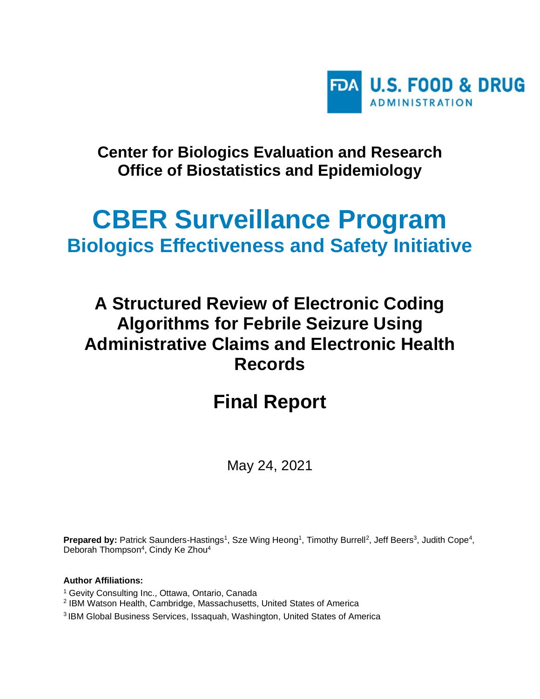

## **Center for Biologics Evaluation and Research Office of Biostatistics and Epidemiology**

# **CBER Surveillance Program Biologics Effectiveness and Safety Initiative**

## **A Structured Review of Electronic Coding Algorithms for Febrile Seizure Using Administrative Claims and Electronic Health Records**

# **Final Report**

May 24, 2021

**Prepared by:** Patrick Saunders-Hastings<sup>1</sup>, Sze Wing Heong<sup>1</sup>, Timothy Burrell<sup>2</sup>, Jeff Beers<sup>3</sup>, Judith Cope<sup>4</sup>, Deborah Thompson<sup>4</sup>, Cindy Ke Zhou<sup>4</sup>

#### **Author Affiliations:**

- <sup>1</sup> Gevity Consulting Inc., Ottawa, Ontario, Canada
- 2 IBM Watson Health, Cambridge, Massachusetts, United States of America
- 3 IBM Global Business Services, Issaquah, Washington, United States of America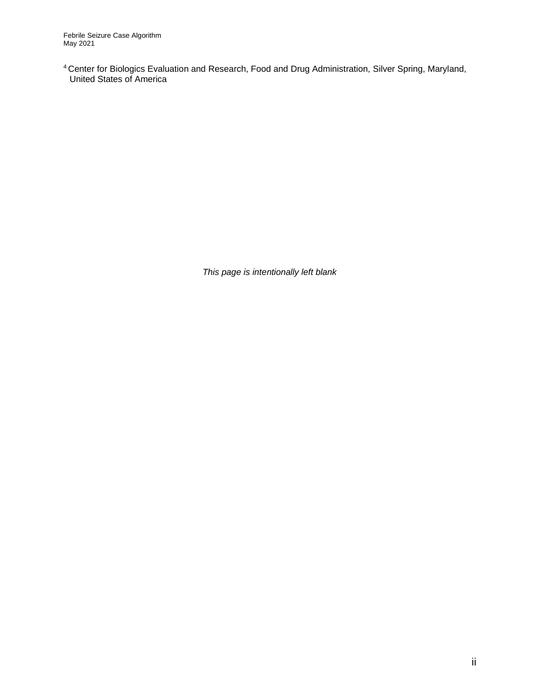<sup>4</sup>Center for Biologics Evaluation and Research, Food and Drug Administration, Silver Spring, Maryland, United States of America

*This page is intentionally left blank*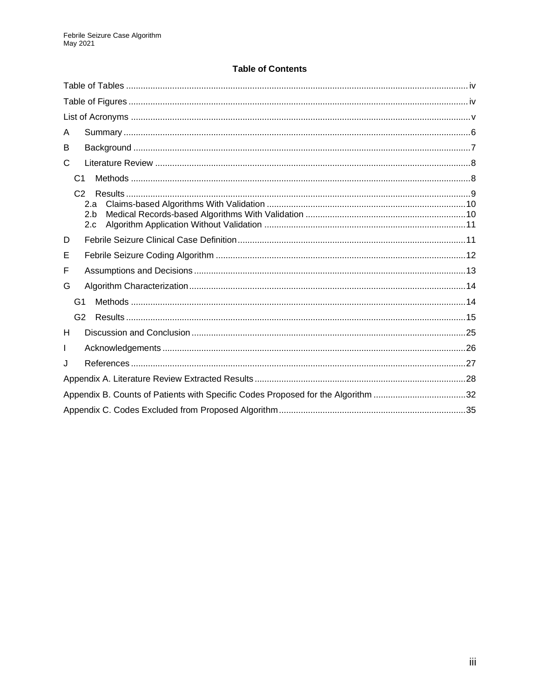#### **Table of Contents**

| A                                                                                |
|----------------------------------------------------------------------------------|
| В                                                                                |
| C                                                                                |
| C <sub>1</sub>                                                                   |
| C2<br>2.a<br>2.h<br>2.c                                                          |
| D                                                                                |
| Е                                                                                |
| F                                                                                |
| G                                                                                |
| G <sub>1</sub>                                                                   |
| G2                                                                               |
| H                                                                                |
| L                                                                                |
| J                                                                                |
|                                                                                  |
| Appendix B. Counts of Patients with Specific Codes Proposed for the Algorithm 32 |
|                                                                                  |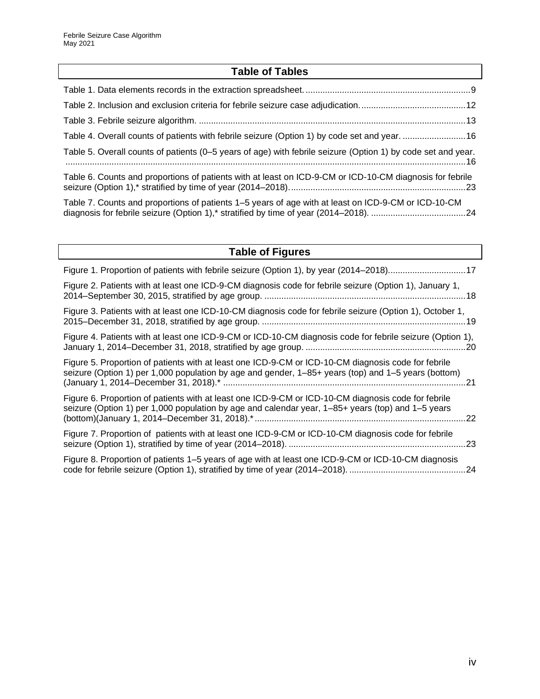## **Table of Tables**

<span id="page-3-0"></span>

| Table 4. Overall counts of patients with febrile seizure (Option 1) by code set and year. 16                 |  |
|--------------------------------------------------------------------------------------------------------------|--|
| Table 5. Overall counts of patients (0–5 years of age) with febrile seizure (Option 1) by code set and year. |  |
| Table 6. Counts and proportions of patients with at least on ICD-9-CM or ICD-10-CM diagnosis for febrile     |  |
| Table 7. Counts and proportions of patients 1–5 years of age with at least on ICD-9-CM or ICD-10-CM          |  |

<span id="page-3-1"></span>

| <b>Table of Figures</b>                                                                                                                                                                                    |  |
|------------------------------------------------------------------------------------------------------------------------------------------------------------------------------------------------------------|--|
| Figure 1. Proportion of patients with febrile seizure (Option 1), by year (2014–2018)17                                                                                                                    |  |
| Figure 2. Patients with at least one ICD-9-CM diagnosis code for febrile seizure (Option 1), January 1,                                                                                                    |  |
| Figure 3. Patients with at least one ICD-10-CM diagnosis code for febrile seizure (Option 1), October 1,                                                                                                   |  |
| Figure 4. Patients with at least one ICD-9-CM or ICD-10-CM diagnosis code for febrile seizure (Option 1),                                                                                                  |  |
| Figure 5. Proportion of patients with at least one ICD-9-CM or ICD-10-CM diagnosis code for febrile<br>seizure (Option 1) per 1,000 population by age and gender, 1–85+ years (top) and 1–5 years (bottom) |  |
| Figure 6. Proportion of patients with at least one ICD-9-CM or ICD-10-CM diagnosis code for febrile<br>seizure (Option 1) per 1,000 population by age and calendar year, 1–85+ years (top) and 1–5 years   |  |
| Figure 7. Proportion of patients with at least one ICD-9-CM or ICD-10-CM diagnosis code for febrile                                                                                                        |  |
| Figure 8. Proportion of patients 1–5 years of age with at least one ICD-9-CM or ICD-10-CM diagnosis                                                                                                        |  |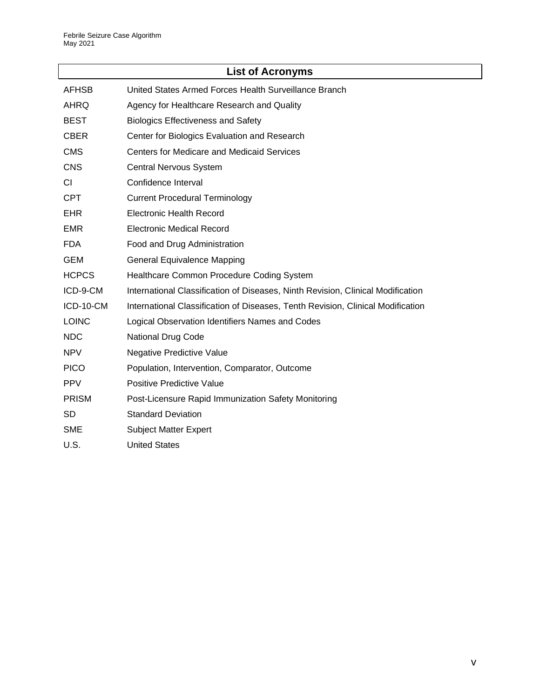<span id="page-4-0"></span>

|              | <b>List of Acronyms</b>                                                         |
|--------------|---------------------------------------------------------------------------------|
| <b>AFHSB</b> | United States Armed Forces Health Surveillance Branch                           |
| <b>AHRQ</b>  | Agency for Healthcare Research and Quality                                      |
| <b>BEST</b>  | <b>Biologics Effectiveness and Safety</b>                                       |
| <b>CBER</b>  | Center for Biologics Evaluation and Research                                    |
| <b>CMS</b>   | <b>Centers for Medicare and Medicaid Services</b>                               |
| <b>CNS</b>   | <b>Central Nervous System</b>                                                   |
| <b>CI</b>    | Confidence Interval                                                             |
| <b>CPT</b>   | <b>Current Procedural Terminology</b>                                           |
| <b>EHR</b>   | <b>Electronic Health Record</b>                                                 |
| <b>EMR</b>   | <b>Electronic Medical Record</b>                                                |
| <b>FDA</b>   | Food and Drug Administration                                                    |
| <b>GEM</b>   | <b>General Equivalence Mapping</b>                                              |
| <b>HCPCS</b> | Healthcare Common Procedure Coding System                                       |
| ICD-9-CM     | International Classification of Diseases, Ninth Revision, Clinical Modification |
| ICD-10-CM    | International Classification of Diseases, Tenth Revision, Clinical Modification |
| <b>LOINC</b> | Logical Observation Identifiers Names and Codes                                 |
| <b>NDC</b>   | <b>National Drug Code</b>                                                       |
| <b>NPV</b>   | Negative Predictive Value                                                       |
| <b>PICO</b>  | Population, Intervention, Comparator, Outcome                                   |
| <b>PPV</b>   | Positive Predictive Value                                                       |
| <b>PRISM</b> | Post-Licensure Rapid Immunization Safety Monitoring                             |
| <b>SD</b>    | <b>Standard Deviation</b>                                                       |
| <b>SME</b>   | <b>Subject Matter Expert</b>                                                    |
| U.S.         | <b>United States</b>                                                            |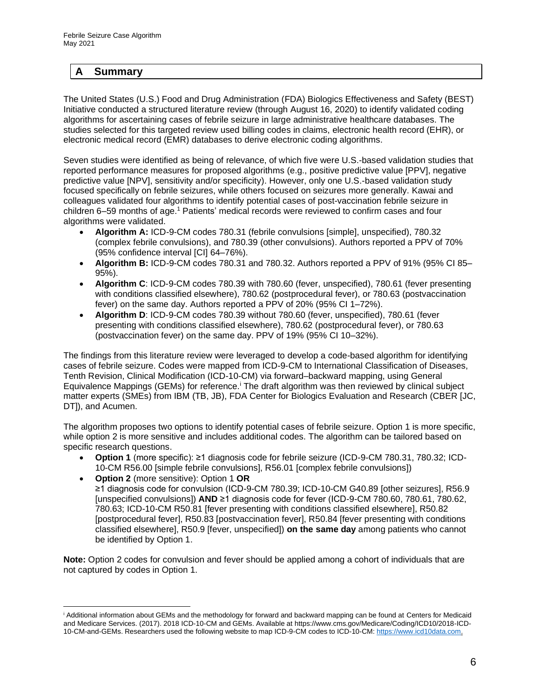#### <span id="page-5-0"></span>**A Summary**

The United States (U.S.) Food and Drug Administration (FDA) Biologics Effectiveness and Safety (BEST) Initiative conducted a structured literature review (through August 16, 2020) to identify validated coding algorithms for ascertaining cases of febrile seizure in large administrative healthcare databases. The studies selected for this targeted review used billing codes in claims, electronic health record (EHR), or electronic medical record (EMR) databases to derive electronic coding algorithms.

Seven studies were identified as being of relevance, of which five were U.S.-based validation studies that reported performance measures for proposed algorithms (e.g., positive predictive value [PPV], negative predictive value [NPV], sensitivity and/or specificity). However, only one U.S.-based validation study focused specifically on febrile seizures, while others focused on seizures more generally. Kawai and colleagues validated four algorithms to identify potential cases of post-vaccination febrile seizure in children 6–59 months of age.<sup>1</sup> Patients' medical records were reviewed to confirm cases and four algorithms were validated.

- **Algorithm A:** ICD-9-CM codes 780.31 (febrile convulsions [simple], unspecified), 780.32 (complex febrile convulsions), and 780.39 (other convulsions). Authors reported a PPV of 70% (95% confidence interval [CI] 64–76%).
- **Algorithm B:** ICD-9-CM codes 780.31 and 780.32. Authors reported a PPV of 91% (95% CI 85– 95%).
- **Algorithm C**: ICD-9-CM codes 780.39 with 780.60 (fever, unspecified), 780.61 (fever presenting with conditions classified elsewhere), 780.62 (postprocedural fever), or 780.63 (postvaccination fever) on the same day. Authors reported a PPV of 20% (95% CI 1–72%).
- **Algorithm D**: ICD-9-CM codes 780.39 without 780.60 (fever, unspecified), 780.61 (fever presenting with conditions classified elsewhere), 780.62 (postprocedural fever), or 780.63 (postvaccination fever) on the same day. PPV of 19% (95% CI 10–32%).

The findings from this literature review were leveraged to develop a code-based algorithm for identifying cases of febrile seizure. Codes were mapped from ICD-9-CM to International Classification of Diseases, Tenth Revision, Clinical Modification (ICD-10-CM) via forward–backward mapping, using General Equivalence Mappings (GEMs) for reference.<sup>i</sup> The draft algorithm was then reviewed by clinical subject matter experts (SMEs) from IBM (TB, JB), FDA Center for Biologics Evaluation and Research (CBER [JC, DT]), and Acumen.

The algorithm proposes two options to identify potential cases of febrile seizure. Option 1 is more specific, while option 2 is more sensitive and includes additional codes. The algorithm can be tailored based on specific research questions.

- **Option 1** (more specific): ≥1 diagnosis code for febrile seizure (ICD-9-CM 780.31, 780.32; ICD-10-CM R56.00 [simple febrile convulsions], R56.01 [complex febrile convulsions])
- **Option 2** (more sensitive): Option 1 **OR** ≥1 diagnosis code for convulsion (ICD-9-CM 780.39; ICD-10-CM G40.89 [other seizures], R56.9 [unspecified convulsions]) **AND** ≥1 diagnosis code for fever (ICD-9-CM 780.60, 780.61, 780.62, 780.63; ICD-10-CM R50.81 [fever presenting with conditions classified elsewhere], R50.82 [postprocedural fever], R50.83 [postvaccination fever], R50.84 [fever presenting with conditions classified elsewhere], R50.9 [fever, unspecified]) **on the same day** among patients who cannot be identified by Option 1.

**Note:** Option 2 codes for convulsion and fever should be applied among a cohort of individuals that are not captured by codes in Option 1.

<sup>i</sup> Additional information about GEMs and the methodology for forward and backward mapping can be found at Centers for Medicaid and Medicare Services. (2017). 2018 ICD-10-CM and GEMs. Available at https://www.cms.gov/Medicare/Coding/ICD10/2018-ICD-10-CM-and-GEMs. Researchers used the following website to map ICD-9-CM codes to ICD-10-CM[: https://www.icd10data.com.](https://www.icd10data.com/)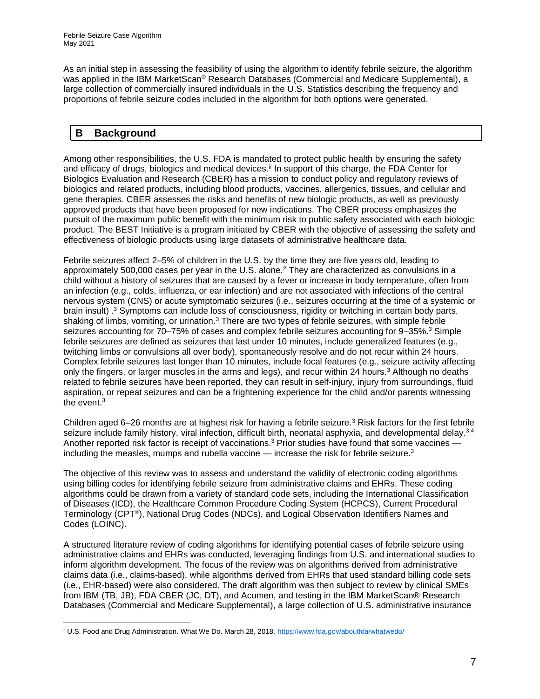As an initial step in assessing the feasibility of using the algorithm to identify febrile seizure, the algorithm was applied in the IBM MarketScan® Research Databases (Commercial and Medicare Supplemental), a large collection of commercially insured individuals in the U.S. Statistics describing the frequency and proportions of febrile seizure codes included in the algorithm for both options were generated.

#### <span id="page-6-0"></span>**B Background**

Among other responsibilities, the U.S. FDA is mandated to protect public health by ensuring the safety and efficacy of drugs, biologics and medical devices.<sup>ii</sup> In support of this charge, the FDA Center for Biologics Evaluation and Research (CBER) has a mission to conduct policy and regulatory reviews of biologics and related products, including blood products, vaccines, allergenics, tissues, and cellular and gene therapies. CBER assesses the risks and benefits of new biologic products, as well as previously approved products that have been proposed for new indications. The CBER process emphasizes the pursuit of the maximum public benefit with the minimum risk to public safety associated with each biologic product. The BEST Initiative is a program initiated by CBER with the objective of assessing the safety and effectiveness of biologic products using large datasets of administrative healthcare data.

Febrile seizures affect 2–5% of children in the U.S. by the time they are five years old, leading to approximately 500,000 cases per year in the U.S. alone. <sup>2</sup> They are characterized as convulsions in a child without a history of seizures that are caused by a fever or increase in body temperature, often from an infection (e.g., colds, influenza, or ear infection) and are not associated with infections of the central nervous system (CNS) or acute symptomatic seizures (i.e., seizures occurring at the time of a systemic or brain insult) .<sup>3</sup> Symptoms can include loss of consciousness, rigidity or twitching in certain body parts, shaking of limbs, vomiting, or urination.<sup>3</sup> There are two types of febrile seizures, with simple febrile seizures accounting for 70–75% of cases and complex febrile seizures accounting for 9–35%.<sup>3</sup> Simple febrile seizures are defined as seizures that last under 10 minutes, include generalized features (e.g., twitching limbs or convulsions all over body), spontaneously resolve and do not recur within 24 hours. Complex febrile seizures last longer than 10 minutes, include focal features (e.g., seizure activity affecting only the fingers, or larger muscles in the arms and legs), and recur within 24 hours.<sup>3</sup> Although no deaths related to febrile seizures have been reported, they can result in self-injury, injury from surroundings, fluid aspiration, or repeat seizures and can be a frightening experience for the child and/or parents witnessing the event. $^3$ 

Children aged 6–26 months are at highest risk for having a febrile seizure.<sup>3</sup> Risk factors for the first febrile seizure include family history, viral infection, difficult birth, neonatal asphyxia, and developmental delay.<sup>3,4</sup> Another reported risk factor is receipt of vaccinations.<sup>3</sup> Prior studies have found that some vaccines including the measles, mumps and rubella vaccine — increase the risk for febrile seizure.<sup>3</sup>

The objective of this review was to assess and understand the validity of electronic coding algorithms using billing codes for identifying febrile seizure from administrative claims and EHRs. These coding algorithms could be drawn from a variety of standard code sets, including the International Classification of Diseases (ICD), the Healthcare Common Procedure Coding System (HCPCS), Current Procedural Terminology (CPT®), National Drug Codes (NDCs), and Logical Observation Identifiers Names and Codes (LOINC).

A structured literature review of coding algorithms for identifying potential cases of febrile seizure using administrative claims and EHRs was conducted, leveraging findings from U.S. and international studies to inform algorithm development. The focus of the review was on algorithms derived from administrative claims data (i.e., claims-based), while algorithms derived from EHRs that used standard billing code sets (i.e., EHR-based) were also considered. The draft algorithm was then subject to review by clinical SMEs from IBM (TB, JB), FDA CBER (JC, DT), and Acumen, and testing in the IBM MarketScan® Research Databases (Commercial and Medicare Supplemental), a large collection of U.S. administrative insurance

ii U.S. Food and Drug Administration. What We Do. March 28, 2018.<https://www.fda.gov/aboutfda/whatwedo/>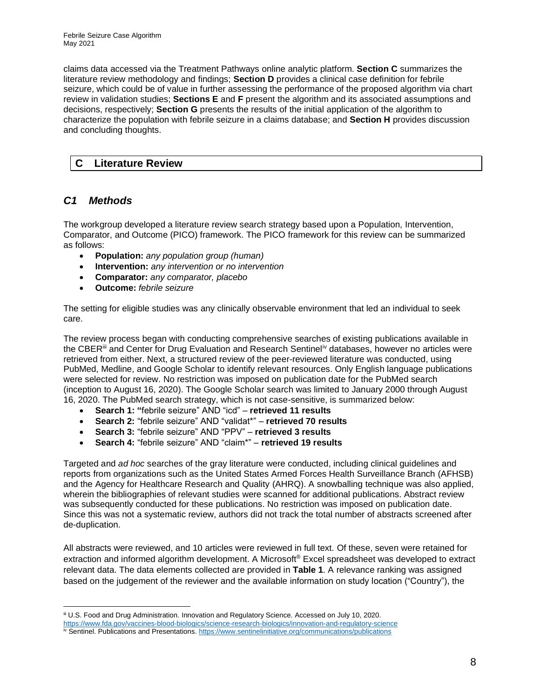claims data accessed via the Treatment Pathways online analytic platform. **Section C** summarizes the literature review methodology and findings; **Section D** provides a clinical case definition for febrile seizure, which could be of value in further assessing the performance of the proposed algorithm via chart review in validation studies; **Sections E** and **F** present the algorithm and its associated assumptions and decisions, respectively; **Section G** presents the results of the initial application of the algorithm to characterize the population with febrile seizure in a claims database; and **Section H** provides discussion and concluding thoughts.

#### <span id="page-7-0"></span>**C Literature Review**

#### <span id="page-7-1"></span>*C1 Methods*

The workgroup developed a literature review search strategy based upon a Population, Intervention, Comparator, and Outcome (PICO) framework. The PICO framework for this review can be summarized as follows:

- **Population:** *any population group (human)*
- **Intervention:** *any intervention or no intervention*
- **Comparator:** *any comparator, placebo*
- **Outcome:** *febrile seizure*

The setting for eligible studies was any clinically observable environment that led an individual to seek care.

The review process began with conducting comprehensive searches of existing publications available in the CBER<sup>iii</sup> and Center for Drug Evaluation and Research Sentinel<sup>iv</sup> databases, however no articles were retrieved from either. Next, a structured review of the peer-reviewed literature was conducted, using PubMed, Medline, and Google Scholar to identify relevant resources. Only English language publications were selected for review. No restriction was imposed on publication date for the PubMed search (inception to August 16, 2020). The Google Scholar search was limited to January 2000 through August 16, 2020. The PubMed search strategy, which is not case-sensitive, is summarized below:

- **Search 1: "**febrile seizure" AND "icd" **retrieved 11 results**
- **Search 2:** "febrile seizure" AND "validat\*" **retrieved 70 results**
- **Search 3:** "febrile seizure" AND "PPV" **retrieved 3 results**
- **Search 4:** "febrile seizure" AND "claim\*" **retrieved 19 results**

Targeted and *ad hoc* searches of the gray literature were conducted, including clinical guidelines and reports from organizations such as the United States Armed Forces Health Surveillance Branch (AFHSB) and the Agency for Healthcare Research and Quality (AHRQ). A snowballing technique was also applied, wherein the bibliographies of relevant studies were scanned for additional publications. Abstract review was subsequently conducted for these publications. No restriction was imposed on publication date. Since this was not a systematic review, authors did not track the total number of abstracts screened after de-duplication.

All abstracts were reviewed, and 10 articles were reviewed in full text. Of these, seven were retained for extraction and informed algorithm development. A Microsoft® Excel spreadsheet was developed to extract relevant data. The data elements collected are provided in **[Table 1](#page-8-1)**. A relevance ranking was assigned based on the judgement of the reviewer and the available information on study location ("Country"), the

iii U.S. Food and Drug Administration. Innovation and Regulatory Science. Accessed on July 10, 2020.

<https://www.fda.gov/vaccines-blood-biologics/science-research-biologics/innovation-and-regulatory-science>

iv Sentinel. Publications and Presentations. <https://www.sentinelinitiative.org/communications/publications>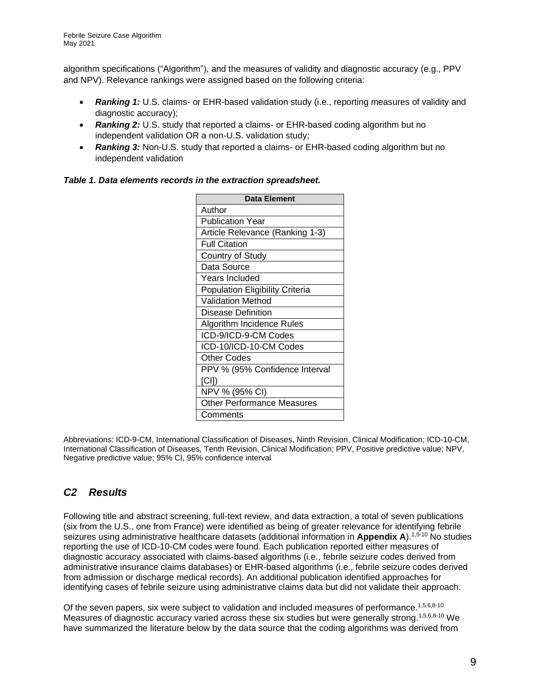algorithm specifications ("Algorithm"), and the measures of validity and diagnostic accuracy (e.g., PPV and NPV). Relevance rankings were assigned based on the following criteria:

- **Ranking 1:** U.S. claims- or EHR-based validation study (i.e., reporting measures of validity and diagnostic accuracy);
- **Ranking 2:** U.S. study that reported a claims- or EHR-based coding algorithm but no independent validation OR a non-U.S. validation study;
- **Ranking 3:** Non-U.S. study that reported a claims- or EHR-based coding algorithm but no independent validation

<span id="page-8-1"></span>*Table 1. Data elements records in the extraction spreadsheet.*

| Data Element                           |
|----------------------------------------|
| Author                                 |
| <b>Publication Year</b>                |
| Article Relevance (Ranking 1-3)        |
| <b>Full Citation</b>                   |
| Country of Study                       |
| Data Source                            |
| <b>Years Included</b>                  |
| <b>Population Eligibility Criteria</b> |
| <b>Validation Method</b>               |
| Disease Definition                     |
| Algorithm Incidence Rules              |
| ICD-9/ICD-9-CM Codes                   |
| ICD-10/ICD-10-CM Codes                 |
| <b>Other Codes</b>                     |
| PPV % (95% Confidence Interval         |
| [CI])                                  |
| NPV % (95% CI)                         |
| <b>Other Performance Measures</b>      |
| Comments                               |

Abbreviations: ICD-9-CM, International Classification of Diseases, Ninth Revision, Clinical Modification; ICD-10-CM, International Classification of Diseases, Tenth Revision, Clinical Modification; PPV, Positive predictive value; NPV, Negative predictive value; 95% CI, 95% confidence interval

## <span id="page-8-0"></span>*C2 Results*

Following title and abstract screening, full-text review, and data extraction, a total of seven publications (six from the U.S., one from France) were identified as being of greater relevance for identifying febrile seizures using administrative healthcare datasets (additional information in **Appendix A**).1,5-10 No studies reporting the use of ICD-10-CM codes were found. Each publication reported either measures of diagnostic accuracy associated with claims-based algorithms (i.e., febrile seizure codes derived from administrative insurance claims databases) or EHR-based algorithms (i.e., febrile seizure codes derived from admission or discharge medical records). An additional publication identified approaches for identifying cases of febrile seizure using administrative claims data but did not validate their approach.

Of the seven papers, six were subject to validation and included measures of performance.<sup>1,5,6,8-10</sup> Measures of diagnostic accuracy varied across these six studies but were generally strong.<sup>1,5,6,8-10</sup> We have summarized the literature below by the data source that the coding algorithms was derived from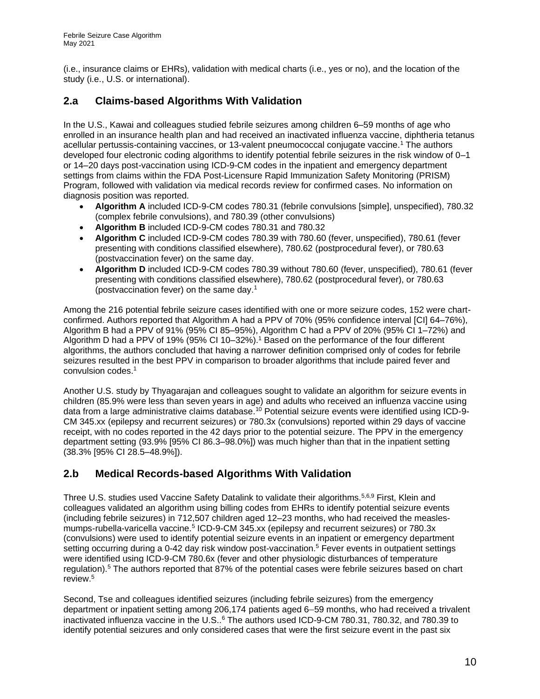(i.e., insurance claims or EHRs), validation with medical charts (i.e., yes or no), and the location of the study (i.e., U.S. or international).

### <span id="page-9-0"></span>**2.a Claims-based Algorithms With Validation**

In the U.S., Kawai and colleagues studied febrile seizures among children 6–59 months of age who enrolled in an insurance health plan and had received an inactivated influenza vaccine, diphtheria tetanus acellular pertussis-containing vaccines, or 13-valent pneumococcal conjugate vaccine. <sup>1</sup> The authors developed four electronic coding algorithms to identify potential febrile seizures in the risk window of 0–1 or 14–20 days post-vaccination using ICD-9-CM codes in the inpatient and emergency department settings from claims within the FDA Post-Licensure Rapid Immunization Safety Monitoring (PRISM) Program, followed with validation via medical records review for confirmed cases. No information on diagnosis position was reported.

- **Algorithm A** included ICD-9-CM codes 780.31 (febrile convulsions [simple], unspecified), 780.32 (complex febrile convulsions), and 780.39 (other convulsions)
- **Algorithm B** included ICD-9-CM codes 780.31 and 780.32
- **Algorithm C** included ICD-9-CM codes 780.39 with 780.60 (fever, unspecified), 780.61 (fever presenting with conditions classified elsewhere), 780.62 (postprocedural fever), or 780.63 (postvaccination fever) on the same day.
- **Algorithm D** included ICD-9-CM codes 780.39 without 780.60 (fever, unspecified), 780.61 (fever presenting with conditions classified elsewhere), 780.62 (postprocedural fever), or 780.63 (postvaccination fever) on the same day. 1

Among the 216 potential febrile seizure cases identified with one or more seizure codes, 152 were chartconfirmed. Authors reported that Algorithm A had a PPV of 70% (95% confidence interval [CI] 64–76%), Algorithm B had a PPV of 91% (95% CI 85–95%), Algorithm C had a PPV of 20% (95% CI 1–72%) and Algorithm D had a PPV of 19% (95% CI 10–32%).<sup>1</sup> Based on the performance of the four different algorithms, the authors concluded that having a narrower definition comprised only of codes for febrile seizures resulted in the best PPV in comparison to broader algorithms that include paired fever and convulsion codes. 1

Another U.S. study by Thyagarajan and colleagues sought to validate an algorithm for seizure events in children (85.9% were less than seven years in age) and adults who received an influenza vaccine using data from a large administrative claims database.<sup>10</sup> Potential seizure events were identified using ICD-9-CM 345.xx (epilepsy and recurrent seizures) or 780.3x (convulsions) reported within 29 days of vaccine receipt, with no codes reported in the 42 days prior to the potential seizure. The PPV in the emergency department setting (93.9% [95% CI 86.3–98.0%]) was much higher than that in the inpatient setting (38.3% [95% CI 28.5–48.9%]).

### <span id="page-9-1"></span>**2.b Medical Records-based Algorithms With Validation**

Three U.S. studies used Vaccine Safety Datalink to validate their algorithms.5,6,9 First, Klein and colleagues validated an algorithm using billing codes from EHRs to identify potential seizure events (including febrile seizures) in 712,507 children aged 12–23 months, who had received the measlesmumps-rubella-varicella vaccine.<sup>5</sup> ICD-9-CM 345.xx (epilepsy and recurrent seizures) or 780.3x (convulsions) were used to identify potential seizure events in an inpatient or emergency department setting occurring during a 0-42 day risk window post-vaccination.<sup>5</sup> Fever events in outpatient settings were identified using ICD-9-CM 780.6x (fever and other physiologic disturbances of temperature regulation).<sup>5</sup> The authors reported that 87% of the potential cases were febrile seizures based on chart review. 5

Second, Tse and colleagues identified seizures (including febrile seizures) from the emergency department or inpatient setting among 206,174 patients aged 6–59 months, who had received a trivalent inactivated influenza vaccine in the U.S..<sup>6</sup> The authors used ICD-9-CM 780.31, 780.32, and 780.39 to identify potential seizures and only considered cases that were the first seizure event in the past six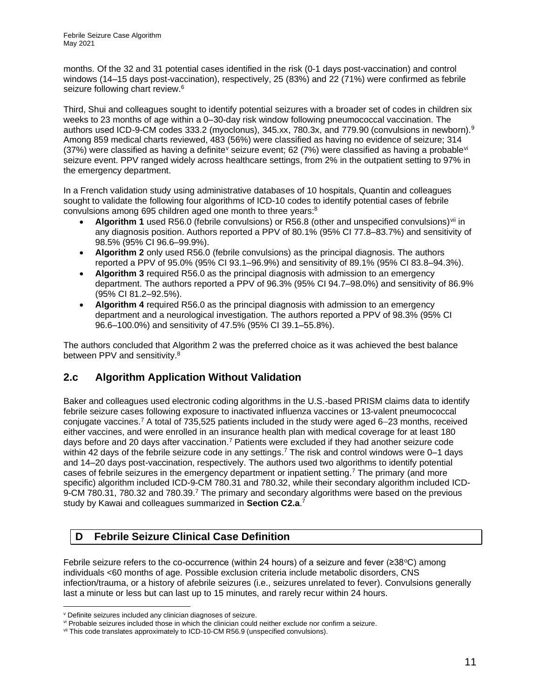months. Of the 32 and 31 potential cases identified in the risk (0-1 days post-vaccination) and control windows (14–15 days post-vaccination), respectively, 25 (83%) and 22 (71%) were confirmed as febrile seizure following chart review.<sup>6</sup>

Third, Shui and colleagues sought to identify potential seizures with a broader set of codes in children six weeks to 23 months of age within a 0–30-day risk window following pneumococcal vaccination. The authors used ICD-9-CM codes 333.2 (myoclonus), 345.xx, 780.3x, and 779.90 (convulsions in newborn).<sup>9</sup> Among 859 medical charts reviewed, 483 (56%) were classified as having no evidence of seizure; 314 (37%) were classified as having a definite<sup>v</sup> seizure event; 62 (7%) were classified as having a probable<sup>vi</sup> seizure event. PPV ranged widely across healthcare settings, from 2% in the outpatient setting to 97% in the emergency department.

In a French validation study using administrative databases of 10 hospitals, Quantin and colleagues sought to validate the following four algorithms of ICD-10 codes to identify potential cases of febrile convulsions among 695 children aged one month to three years:<sup>8</sup>

- Algorithm 1 used R56.0 (febrile convulsions) or R56.8 (other and unspecified convulsions)<sup>vii</sup> in any diagnosis position. Authors reported a PPV of 80.1% (95% CI 77.8–83.7%) and sensitivity of 98.5% (95% CI 96.6–99.9%).
- **Algorithm 2** only used R56.0 (febrile convulsions) as the principal diagnosis. The authors reported a PPV of 95.0% (95% CI 93.1–96.9%) and sensitivity of 89.1% (95% CI 83.8–94.3%).
- **Algorithm 3** required R56.0 as the principal diagnosis with admission to an emergency department. The authors reported a PPV of 96.3% (95% CI 94.7–98.0%) and sensitivity of 86.9% (95% CI 81.2–92.5%).
- **Algorithm 4** required R56.0 as the principal diagnosis with admission to an emergency department and a neurological investigation. The authors reported a PPV of 98.3% (95% CI 96.6–100.0%) and sensitivity of 47.5% (95% CI 39.1–55.8%).

The authors concluded that Algorithm 2 was the preferred choice as it was achieved the best balance between PPV and sensitivity.<sup>8</sup>

### <span id="page-10-0"></span>**2.c Algorithm Application Without Validation**

Baker and colleagues used electronic coding algorithms in the U.S.-based PRISM claims data to identify febrile seizure cases following exposure to inactivated influenza vaccines or 13-valent pneumococcal conjugate vaccines.<sup>7</sup> A total of 735,525 patients included in the study were aged 6–23 months, received either vaccines, and were enrolled in an insurance health plan with medical coverage for at least 180 days before and 20 days after vaccination.<sup>7</sup> Patients were excluded if they had another seizure code within 42 days of the febrile seizure code in any settings.<sup>7</sup> The risk and control windows were 0–1 days and 14–20 days post-vaccination, respectively. The authors used two algorithms to identify potential cases of febrile seizures in the emergency department or inpatient setting.<sup>7</sup> The primary (and more specific) algorithm included ICD-9-CM 780.31 and 780.32, while their secondary algorithm included ICD-9-CM 780.31, 780.32 and 780.39.<sup>7</sup> The primary and secondary algorithms were based on the previous study by Kawai and colleagues summarized in **Section C2.a**. 7

### <span id="page-10-1"></span>**D Febrile Seizure Clinical Case Definition**

Febrile seizure refers to the co-occurrence (within 24 hours) of a seizure and fever ( $\geq 38^{\circ}$ C) among individuals <60 months of age. Possible exclusion criteria include metabolic disorders, CNS infection/trauma, or a history of afebrile seizures (i.e., seizures unrelated to fever). Convulsions generally last a minute or less but can last up to 15 minutes, and rarely recur within 24 hours.

<sup>v</sup> Definite seizures included any clinician diagnoses of seizure.

vi Probable seizures included those in which the clinician could neither exclude nor confirm a seizure.

vii This code translates approximately to ICD-10-CM R56.9 (unspecified convulsions).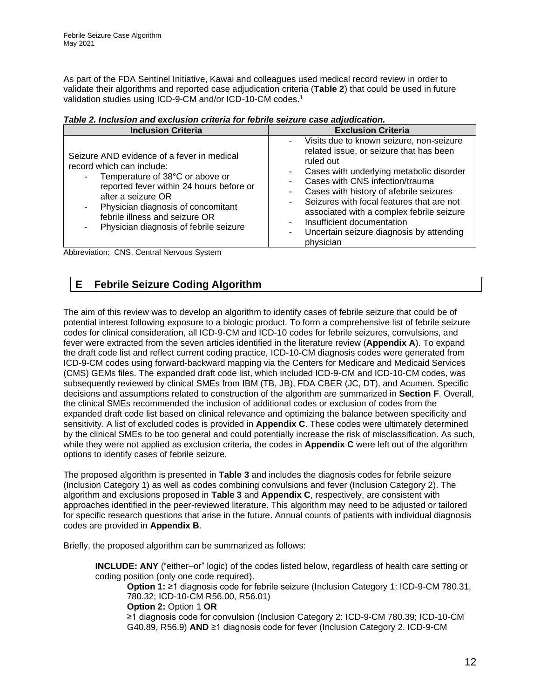As part of the FDA Sentinel Initiative, Kawai and colleagues used medical record review in order to validate their algorithms and reported case adjudication criteria (**[Table 2](#page-11-1)**) that could be used in future validation studies using ICD-9-CM and/or ICD-10-CM codes. 1

<span id="page-11-1"></span>

| <b>Inclusion Criteria</b>                                                                                                                                                                                                                                                                                                       | <b>Exclusion Criteria</b>                                                                                                                                                                                                                                                                                                                                                                                   |
|---------------------------------------------------------------------------------------------------------------------------------------------------------------------------------------------------------------------------------------------------------------------------------------------------------------------------------|-------------------------------------------------------------------------------------------------------------------------------------------------------------------------------------------------------------------------------------------------------------------------------------------------------------------------------------------------------------------------------------------------------------|
| Seizure AND evidence of a fever in medical<br>record which can include:<br>Temperature of 38°C or above or<br>$\overline{\phantom{a}}$<br>reported fever within 24 hours before or<br>after a seizure OR<br>Physician diagnosis of concomitant<br>٠<br>febrile illness and seizure OR<br>Physician diagnosis of febrile seizure | Visits due to known seizure, non-seizure<br>related issue, or seizure that has been<br>ruled out<br>Cases with underlying metabolic disorder<br>Cases with CNS infection/trauma<br>Cases with history of afebrile seizures<br>Seizures with focal features that are not<br>associated with a complex febrile seizure<br>Insufficient documentation<br>Uncertain seizure diagnosis by attending<br>physician |

Abbreviation: CNS, Central Nervous System

### <span id="page-11-0"></span>**E Febrile Seizure Coding Algorithm**

The aim of this review was to develop an algorithm to identify cases of febrile seizure that could be of potential interest following exposure to a biologic product. To form a comprehensive list of febrile seizure codes for clinical consideration, all ICD-9-CM and ICD-10 codes for febrile seizures, convulsions, and fever were extracted from the seven articles identified in the literature review (**Appendix A**). To expand the draft code list and reflect current coding practice, ICD-10-CM diagnosis codes were generated from ICD-9-CM codes using forward-backward mapping via the Centers for Medicare and Medicaid Services (CMS) GEMs files. The expanded draft code list, which included ICD-9-CM and ICD-10-CM codes, was subsequently reviewed by clinical SMEs from IBM (TB, JB), FDA CBER (JC, DT), and Acumen. Specific decisions and assumptions related to construction of the algorithm are summarized in **Section F**. Overall, the clinical SMEs recommended the inclusion of additional codes or exclusion of codes from the expanded draft code list based on clinical relevance and optimizing the balance between specificity and sensitivity. A list of excluded codes is provided in **Appendix C**. These codes were ultimately determined by the clinical SMEs to be too general and could potentially increase the risk of misclassification. As such, while they were not applied as exclusion criteria, the codes in **Appendix C** were left out of the algorithm options to identify cases of febrile seizure.

The proposed algorithm is presented in **[Table 3](#page-12-1)** and includes the diagnosis codes for febrile seizure (Inclusion Category 1) as well as codes combining convulsions and fever (Inclusion Category 2). The algorithm and exclusions proposed in **[Table 3](#page-12-1)** and **Appendix C**, respectively, are consistent with approaches identified in the peer-reviewed literature. This algorithm may need to be adjusted or tailored for specific research questions that arise in the future. Annual counts of patients with individual diagnosis codes are provided in **Appendix B**.

Briefly, the proposed algorithm can be summarized as follows:

**INCLUDE: ANY** ("either–or" logic) of the codes listed below, regardless of health care setting or coding position (only one code required).

**Option 1:** ≥1 diagnosis code for febrile seizure (Inclusion Category 1: ICD-9-CM 780.31, 780.32; ICD-10-CM R56.00, R56.01)

**Option 2:** Option 1 **OR**

≥1 diagnosis code for convulsion (Inclusion Category 2: ICD-9-CM 780.39; ICD-10-CM G40.89, R56.9) **AND** ≥1 diagnosis code for fever (Inclusion Category 2. ICD-9-CM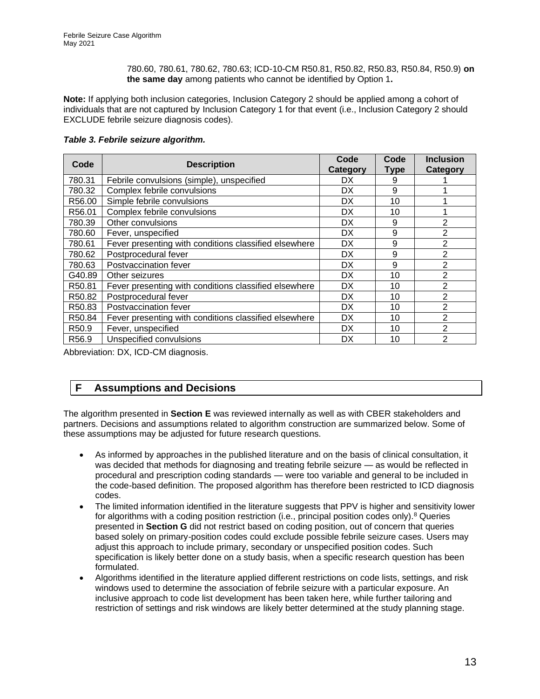780.60, 780.61, 780.62, 780.63; ICD-10-CM R50.81, R50.82, R50.83, R50.84, R50.9) **on the same day** among patients who cannot be identified by Option 1**.**

**Note:** If applying both inclusion categories, Inclusion Category 2 should be applied among a cohort of individuals that are not captured by Inclusion Category 1 for that event (i.e., Inclusion Category 2 should EXCLUDE febrile seizure diagnosis codes).

| Code              | <b>Description</b>                                    | Code<br><b>Category</b> | Code<br><b>Type</b> | <b>Inclusion</b><br>Category |
|-------------------|-------------------------------------------------------|-------------------------|---------------------|------------------------------|
| 780.31            | Febrile convulsions (simple), unspecified             | DX.                     | 9                   |                              |
| 780.32            | Complex febrile convulsions                           | DX.                     | 9                   |                              |
| R56.00            | Simple febrile convulsions                            | DX.                     | 10                  |                              |
| R56.01            | Complex febrile convulsions                           | <b>DX</b>               | 10                  |                              |
| 780.39            | Other convulsions                                     | DX                      | 9                   | 2                            |
| 780.60            | Fever, unspecified                                    | <b>DX</b>               | 9                   | $\overline{2}$               |
| 780.61            | Fever presenting with conditions classified elsewhere | <b>DX</b>               | 9                   | $\overline{2}$               |
| 780.62            | Postprocedural fever                                  | DX                      | 9                   | 2                            |
| 780.63            | Postvaccination fever                                 | DX.                     | 9                   | $\overline{2}$               |
| G40.89            | Other seizures                                        | <b>DX</b>               | 10                  | $\overline{2}$               |
| R50.81            | Fever presenting with conditions classified elsewhere | DX.                     | 10                  | 2                            |
| R50.82            | Postprocedural fever                                  | DX.                     | 10                  | $\overline{2}$               |
| R50.83            | Postvaccination fever                                 | DX.                     | 10                  | $\overline{2}$               |
| R50.84            | Fever presenting with conditions classified elsewhere | <b>DX</b>               | 10                  | 2                            |
| R <sub>50.9</sub> | Fever, unspecified                                    | DX                      | 10                  | $\overline{2}$               |
| R <sub>56.9</sub> | Unspecified convulsions                               | <b>DX</b>               | 10                  | 2                            |

#### <span id="page-12-1"></span>*Table 3. Febrile seizure algorithm.*

Abbreviation: DX, ICD-CM diagnosis.

### <span id="page-12-0"></span>**F Assumptions and Decisions**

The algorithm presented in **Section E** was reviewed internally as well as with CBER stakeholders and partners. Decisions and assumptions related to algorithm construction are summarized below. Some of these assumptions may be adjusted for future research questions.

- As informed by approaches in the published literature and on the basis of clinical consultation, it was decided that methods for diagnosing and treating febrile seizure — as would be reflected in procedural and prescription coding standards — were too variable and general to be included in the code-based definition. The proposed algorithm has therefore been restricted to ICD diagnosis codes.
- The limited information identified in the literature suggests that PPV is higher and sensitivity lower for algorithms with a coding position restriction (i.e., principal position codes only).<sup>8</sup> Queries presented in **Section G** did not restrict based on coding position, out of concern that queries based solely on primary-position codes could exclude possible febrile seizure cases. Users may adjust this approach to include primary, secondary or unspecified position codes. Such specification is likely better done on a study basis, when a specific research question has been formulated.
- Algorithms identified in the literature applied different restrictions on code lists, settings, and risk windows used to determine the association of febrile seizure with a particular exposure. An inclusive approach to code list development has been taken here, while further tailoring and restriction of settings and risk windows are likely better determined at the study planning stage.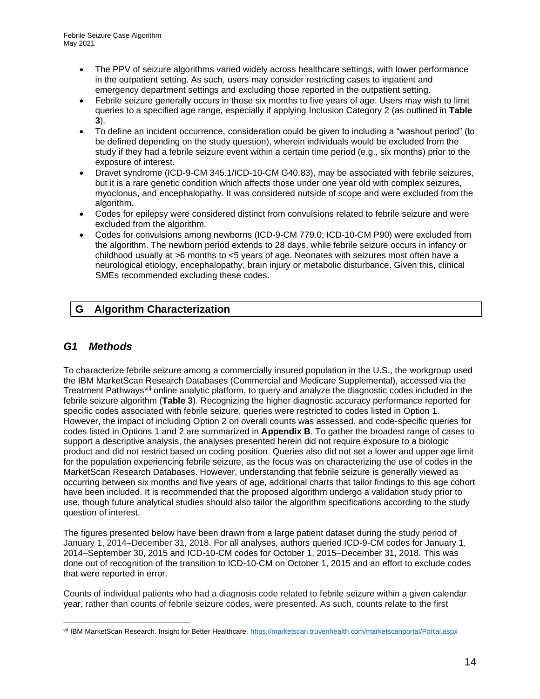- The PPV of seizure algorithms varied widely across healthcare settings, with lower performance in the outpatient setting. As such, users may consider restricting cases to inpatient and emergency department settings and excluding those reported in the outpatient setting.
- Febrile seizure generally occurs in those six months to five years of age. Users may wish to limit queries to a specified age range, especially if applying Inclusion Category 2 (as outlined in **[Table](#page-12-1)  [3](#page-12-1)**).
- To define an incident occurrence, consideration could be given to including a "washout period" (to be defined depending on the study question), wherein individuals would be excluded from the study if they had a febrile seizure event within a certain time period (e.g., six months) prior to the exposure of interest.
- Dravet syndrome (ICD-9-CM 345.1/ICD-10-CM G40.83), may be associated with febrile seizures, but it is a rare genetic condition which affects those under one year old with complex seizures, myoclonus, and encephalopathy. It was considered outside of scope and were excluded from the algorithm.
- Codes for epilepsy were considered distinct from convulsions related to febrile seizure and were excluded from the algorithm.
- Codes for convulsions among newborns (ICD-9-CM 779.0; ICD-10-CM P90) were excluded from the algorithm. The newborn period extends to 28 days, while febrile seizure occurs in infancy or childhood usually at >6 months to <5 years of age. Neonates with seizures most often have a neurological etiology, encephalopathy, brain injury or metabolic disturbance. Given this, clinical SMEs recommended excluding these codes.

## <span id="page-13-0"></span>**G Algorithm Characterization**

#### <span id="page-13-1"></span>*G1 Methods*

To characterize febrile seizure among a commercially insured population in the U.S., the workgroup used the IBM MarketScan Research Databases (Commercial and Medicare Supplemental), accessed via the Treatment Pathwaysviii online analytic platform, to query and analyze the diagnostic codes included in the febrile seizure algorithm (**[Table 3](#page-12-1)**). Recognizing the higher diagnostic accuracy performance reported for specific codes associated with febrile seizure, queries were restricted to codes listed in Option 1. However, the impact of including Option 2 on overall counts was assessed, and code-specific queries for codes listed in Options 1 and 2 are summarized in **Appendix B**. To gather the broadest range of cases to support a descriptive analysis, the analyses presented herein did not require exposure to a biologic product and did not restrict based on coding position. Queries also did not set a lower and upper age limit for the population experiencing febrile seizure, as the focus was on characterizing the use of codes in the MarketScan Research Databases. However, understanding that febrile seizure is generally viewed as occurring between six months and five years of age, additional charts that tailor findings to this age cohort have been included. It is recommended that the proposed algorithm undergo a validation study prior to use, though future analytical studies should also tailor the algorithm specifications according to the study question of interest.

The figures presented below have been drawn from a large patient dataset during the study period of January 1, 2014–December 31, 2018. For all analyses, authors queried ICD-9-CM codes for January 1, 2014–September 30, 2015 and ICD-10-CM codes for October 1, 2015–December 31, 2018. This was done out of recognition of the transition to ICD-10-CM on October 1, 2015 and an effort to exclude codes that were reported in error.

Counts of individual patients who had a diagnosis code related to febrile seizure within a given calendar year, rather than counts of febrile seizure codes, were presented. As such, counts relate to the first

viii IBM MarketScan Research. Insight for Better Healthcare.<https://marketscan.truvenhealth.com/marketscanportal/Portal.aspx>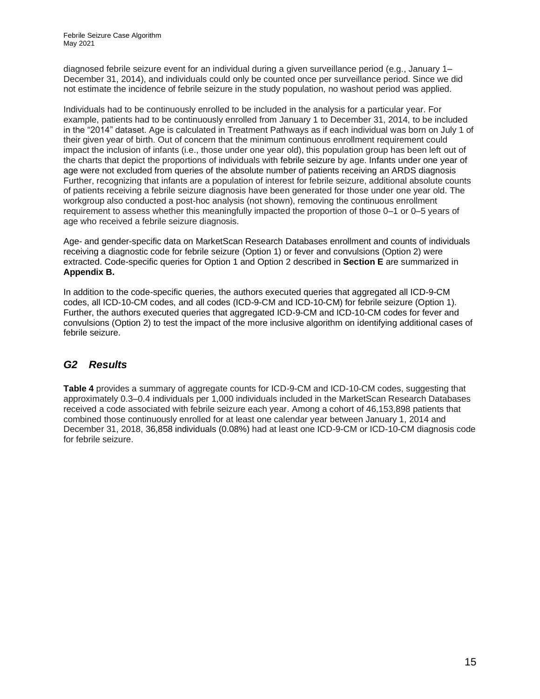diagnosed febrile seizure event for an individual during a given surveillance period (e.g., January 1– December 31, 2014), and individuals could only be counted once per surveillance period. Since we did not estimate the incidence of febrile seizure in the study population, no washout period was applied.

Individuals had to be continuously enrolled to be included in the analysis for a particular year. For example, patients had to be continuously enrolled from January 1 to December 31, 2014, to be included in the "2014" dataset. Age is calculated in Treatment Pathways as if each individual was born on July 1 of their given year of birth. Out of concern that the minimum continuous enrollment requirement could impact the inclusion of infants (i.e., those under one year old), this population group has been left out of the charts that depict the proportions of individuals with febrile seizure by age. Infants under one year of age were not excluded from queries of the absolute number of patients receiving an ARDS diagnosis Further, recognizing that infants are a population of interest for febrile seizure, additional absolute counts of patients receiving a febrile seizure diagnosis have been generated for those under one year old. The workgroup also conducted a post-hoc analysis (not shown), removing the continuous enrollment requirement to assess whether this meaningfully impacted the proportion of those 0–1 or 0–5 years of age who received a febrile seizure diagnosis.

Age- and gender-specific data on MarketScan Research Databases enrollment and counts of individuals receiving a diagnostic code for febrile seizure (Option 1) or fever and convulsions (Option 2) were extracted. Code-specific queries for Option 1 and Option 2 described in **Section E** are summarized in **Appendix B.**

In addition to the code-specific queries, the authors executed queries that aggregated all ICD-9-CM codes, all ICD-10-CM codes, and all codes (ICD-9-CM and ICD-10-CM) for febrile seizure (Option 1). Further, the authors executed queries that aggregated ICD-9-CM and ICD-10-CM codes for fever and convulsions (Option 2) to test the impact of the more inclusive algorithm on identifying additional cases of febrile seizure.

### <span id="page-14-0"></span>*G2 Results*

**[Table 4](#page-15-0)** provides a summary of aggregate counts for ICD-9-CM and ICD-10-CM codes, suggesting that approximately 0.3–0.4 individuals per 1,000 individuals included in the MarketScan Research Databases received a code associated with febrile seizure each year. Among a cohort of 46,153,898 patients that combined those continuously enrolled for at least one calendar year between January 1, 2014 and December 31, 2018, 36,858 individuals (0.08%) had at least one ICD-9-CM or ICD-10-CM diagnosis code for febrile seizure.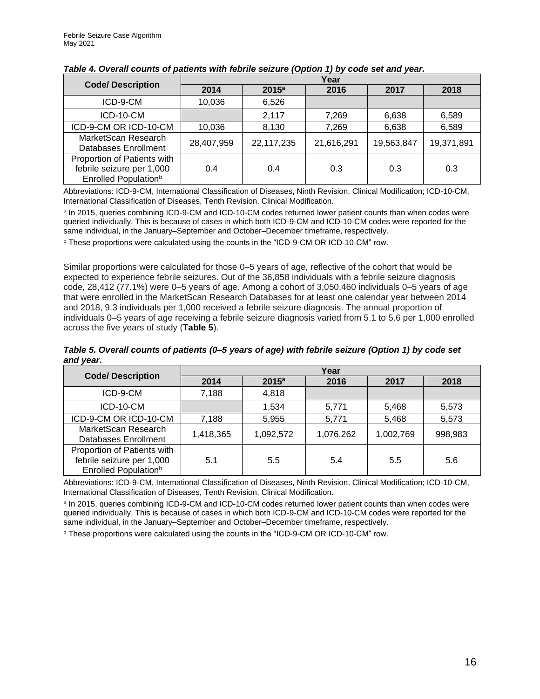|                                                                                              | Year       |                   |            |            |            |  |
|----------------------------------------------------------------------------------------------|------------|-------------------|------------|------------|------------|--|
| <b>Code/ Description</b>                                                                     | 2014       | 2015 <sup>a</sup> | 2016       | 2017       | 2018       |  |
| ICD-9-CM                                                                                     | 10,036     | 6,526             |            |            |            |  |
| ICD-10-CM                                                                                    |            | 2,117             | 7,269      | 6,638      | 6,589      |  |
| ICD-9-CM OR ICD-10-CM                                                                        | 10,036     | 8,130             | 7,269      | 6,638      | 6,589      |  |
| MarketScan Research<br>Databases Enrollment                                                  | 28,407,959 | 22,117,235        | 21,616,291 | 19,563,847 | 19,371,891 |  |
| Proportion of Patients with<br>febrile seizure per 1,000<br>Enrolled Population <sup>b</sup> | 0.4        | 0.4               | 0.3        | 0.3        | 0.3        |  |

<span id="page-15-0"></span>

Abbreviations: ICD-9-CM, International Classification of Diseases, Ninth Revision, Clinical Modification; ICD-10-CM, International Classification of Diseases, Tenth Revision, Clinical Modification.

a In 2015, queries combining ICD-9-CM and ICD-10-CM codes returned lower patient counts than when codes were queried individually. This is because of cases in which both ICD-9-CM and ICD-10-CM codes were reported for the same individual, in the January–September and October–December timeframe, respectively.

<sup>b</sup> These proportions were calculated using the counts in the "ICD-9-CM OR ICD-10-CM" row.

Similar proportions were calculated for those 0–5 years of age, reflective of the cohort that would be expected to experience febrile seizures. Out of the 36,858 individuals with a febrile seizure diagnosis code, 28,412 (77.1%) were 0–5 years of age. Among a cohort of 3,050,460 individuals 0–5 years of age that were enrolled in the MarketScan Research Databases for at least one calendar year between 2014 and 2018, 9.3 individuals per 1,000 received a febrile seizure diagnosis. The annual proportion of individuals 0–5 years of age receiving a febrile seizure diagnosis varied from 5.1 to 5.6 per 1,000 enrolled across the five years of study (**[Table 5](#page-15-1)**).

<span id="page-15-1"></span>*Table 5. Overall counts of patients (0–5 years of age) with febrile seizure (Option 1) by code set and year.*

|                                                                                              | Year      |           |           |           |         |  |  |
|----------------------------------------------------------------------------------------------|-----------|-----------|-----------|-----------|---------|--|--|
| <b>Code/ Description</b>                                                                     | 2014      | $2015^a$  | 2016      | 2017      | 2018    |  |  |
| ICD-9-CM                                                                                     | 7,188     | 4,818     |           |           |         |  |  |
| ICD-10-CM                                                                                    |           | 1,534     | 5,771     | 5,468     | 5,573   |  |  |
| ICD-9-CM OR ICD-10-CM                                                                        | 7,188     | 5,955     | 5,771     | 5,468     | 5,573   |  |  |
| MarketScan Research<br>Databases Enrollment                                                  | 1,418,365 | 1,092,572 | 1,076,262 | 1,002,769 | 998,983 |  |  |
| Proportion of Patients with<br>febrile seizure per 1,000<br>Enrolled Population <sup>b</sup> | 5.1       | 5.5       | 5.4       | 5.5       | 5.6     |  |  |

Abbreviations: ICD-9-CM, International Classification of Diseases, Ninth Revision, Clinical Modification; ICD-10-CM, International Classification of Diseases, Tenth Revision, Clinical Modification.

<sup>a</sup> In 2015, queries combining ICD-9-CM and ICD-10-CM codes returned lower patient counts than when codes were queried individually. This is because of cases in which both ICD-9-CM and ICD-10-CM codes were reported for the same individual, in the January–September and October–December timeframe, respectively.

<sup>b</sup> These proportions were calculated using the counts in the "ICD-9-CM OR ICD-10-CM" row.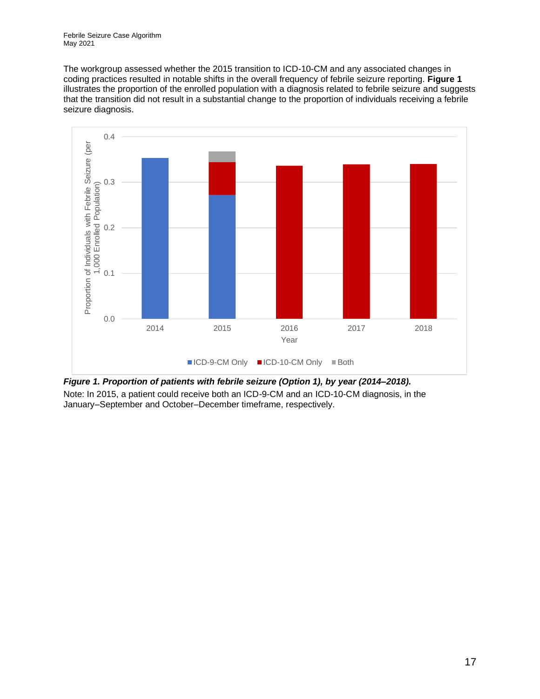The workgroup assessed whether the 2015 transition to ICD-10-CM and any associated changes in coding practices resulted in notable shifts in the overall frequency of febrile seizure reporting. **[Figure 1](#page-16-0)** illustrates the proportion of the enrolled population with a diagnosis related to febrile seizure and suggests that the transition did not result in a substantial change to the proportion of individuals receiving a febrile seizure diagnosis.



<span id="page-16-0"></span>*Figure 1. Proportion of patients with febrile seizure (Option 1), by year (2014–2018).* Note: In 2015, a patient could receive both an ICD-9-CM and an ICD-10-CM diagnosis, in the January–September and October–December timeframe, respectively.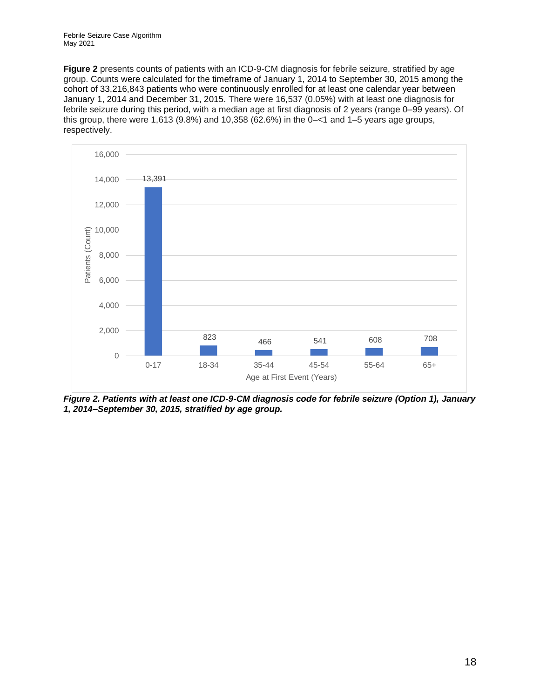Febrile Seizure Case Algorithm May 2021

**[Figure 2](#page-17-0)** presents counts of patients with an ICD-9-CM diagnosis for febrile seizure, stratified by age group. Counts were calculated for the timeframe of January 1, 2014 to September 30, 2015 among the cohort of 33,216,843 patients who were continuously enrolled for at least one calendar year between January 1, 2014 and December 31, 2015. There were 16,537 (0.05%) with at least one diagnosis for febrile seizure during this period, with a median age at first diagnosis of 2 years (range 0–99 years). Of this group, there were  $1,613$  (9.8%) and  $10,358$  (62.6%) in the  $0 - 1$  and  $1 - 5$  years age groups, respectively.



<span id="page-17-0"></span>*Figure 2. Patients with at least one ICD-9-CM diagnosis code for febrile seizure (Option 1), January 1, 2014–September 30, 2015, stratified by age group.*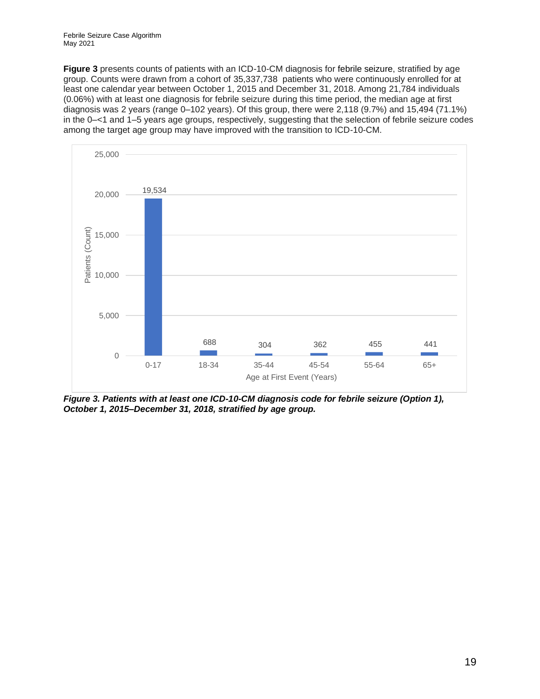Febrile Seizure Case Algorithm May 2021

**[Figure 3](#page-18-0)** presents counts of patients with an ICD-10-CM diagnosis for febrile seizure, stratified by age group. Counts were drawn from a cohort of 35,337,738 patients who were continuously enrolled for at least one calendar year between October 1, 2015 and December 31, 2018. Among 21,784 individuals (0.06%) with at least one diagnosis for febrile seizure during this time period, the median age at first diagnosis was 2 years (range 0–102 years). Of this group, there were 2,118 (9.7%) and 15,494 (71.1%) in the 0–<1 and 1–5 years age groups, respectively, suggesting that the selection of febrile seizure codes among the target age group may have improved with the transition to ICD-10-CM.



<span id="page-18-0"></span>*Figure 3. Patients with at least one ICD-10-CM diagnosis code for febrile seizure (Option 1), October 1, 2015–December 31, 2018, stratified by age group.*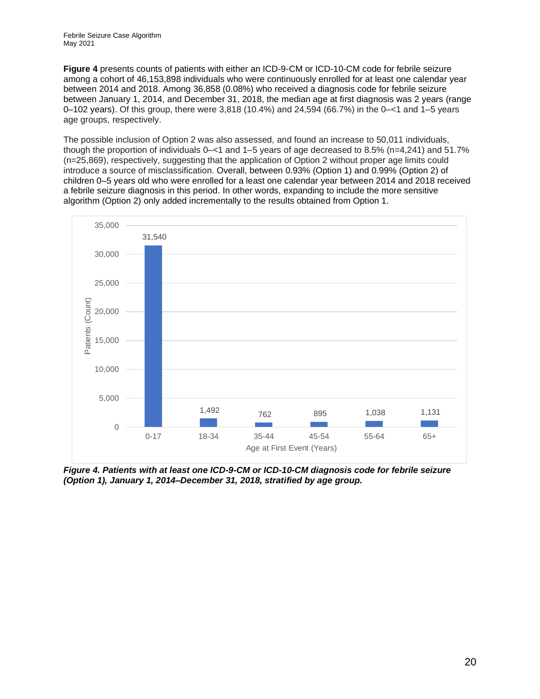**[Figure 4](#page-19-0)** presents counts of patients with either an ICD-9-CM or ICD-10-CM code for febrile seizure among a cohort of 46,153,898 individuals who were continuously enrolled for at least one calendar year between 2014 and 2018. Among 36,858 (0.08%) who received a diagnosis code for febrile seizure between January 1, 2014, and December 31, 2018, the median age at first diagnosis was 2 years (range 0–102 years). Of this group, there were 3,818 (10.4%) and 24,594 (66.7%) in the 0–<1 and 1–5 years age groups, respectively.

The possible inclusion of Option 2 was also assessed, and found an increase to 50,011 individuals, though the proportion of individuals 0–<1 and 1–5 years of age decreased to 8.5% (n=4,241) and 51.7% (n=25,869), respectively, suggesting that the application of Option 2 without proper age limits could introduce a source of misclassification. Overall, between 0.93% (Option 1) and 0.99% (Option 2) of children 0–5 years old who were enrolled for a least one calendar year between 2014 and 2018 received a febrile seizure diagnosis in this period. In other words, expanding to include the more sensitive algorithm (Option 2) only added incrementally to the results obtained from Option 1.



<span id="page-19-0"></span>*Figure 4. Patients with at least one ICD-9-CM or ICD-10-CM diagnosis code for febrile seizure (Option 1), January 1, 2014–December 31, 2018, stratified by age group.*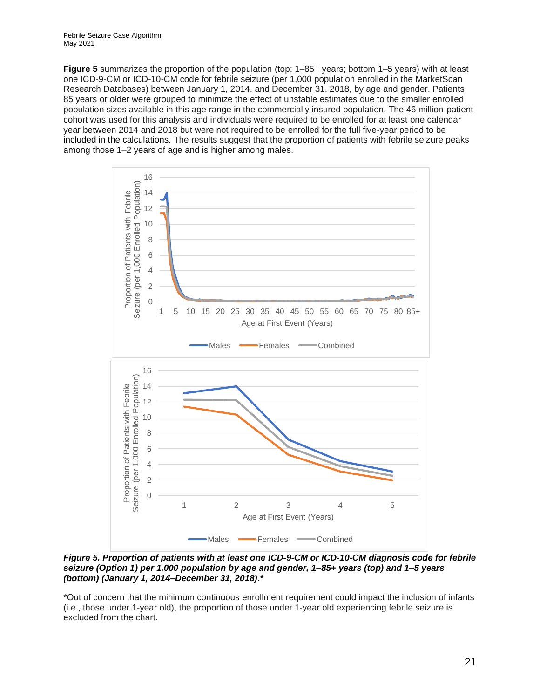**[Figure 5](#page-20-0)** summarizes the proportion of the population (top: 1–85+ years; bottom 1–5 years) with at least one ICD-9-CM or ICD-10-CM code for febrile seizure (per 1,000 population enrolled in the MarketScan Research Databases) between January 1, 2014, and December 31, 2018, by age and gender. Patients 85 years or older were grouped to minimize the effect of unstable estimates due to the smaller enrolled population sizes available in this age range in the commercially insured population. The 46 million-patient cohort was used for this analysis and individuals were required to be enrolled for at least one calendar year between 2014 and 2018 but were not required to be enrolled for the full five-year period to be included in the calculations. The results suggest that the proportion of patients with febrile seizure peaks among those 1–2 years of age and is higher among males.



<span id="page-20-0"></span>*Figure 5. Proportion of patients with at least one ICD-9-CM or ICD-10-CM diagnosis code for febrile seizure (Option 1) per 1,000 population by age and gender, 1–85+ years (top) and 1–5 years (bottom) (January 1, 2014–December 31, 2018).\** 

\*Out of concern that the minimum continuous enrollment requirement could impact the inclusion of infants (i.e., those under 1-year old), the proportion of those under 1-year old experiencing febrile seizure is excluded from the chart.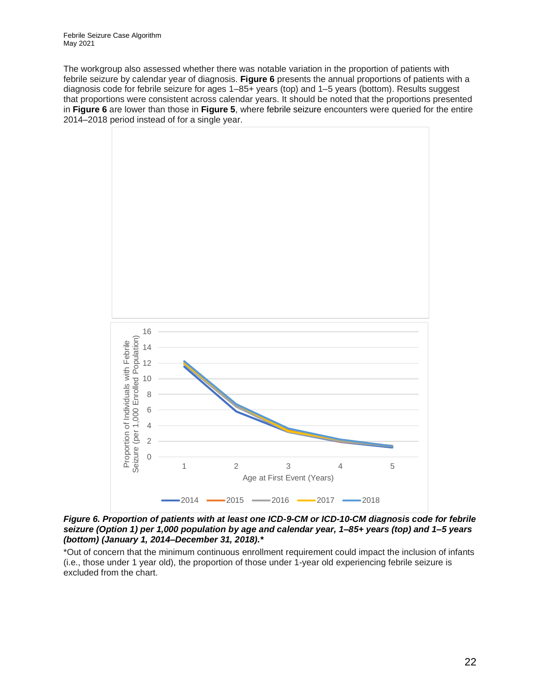The workgroup also assessed whether there was notable variation in the proportion of patients with febrile seizure by calendar year of diagnosis. **[Figure 6](#page-21-0)** presents the annual proportions of patients with a diagnosis code for febrile seizure for ages 1–85+ years (top) and 1–5 years (bottom). Results suggest that proportions were consistent across calendar years. It should be noted that the proportions presented in **[Figure 6](#page-21-0)** are lower than those in **[Figure 5](#page-20-0)**, where febrile seizure encounters were queried for the entire 2014–2018 period instead of for a single year.



<span id="page-21-0"></span>*Figure 6. Proportion of patients with at least one ICD-9-CM or ICD-10-CM diagnosis code for febrile seizure (Option 1) per 1,000 population by age and calendar year, 1–85+ years (top) and 1–5 years (bottom) (January 1, 2014–December 31, 2018).\** 

\*Out of concern that the minimum continuous enrollment requirement could impact the inclusion of infants (i.e., those under 1 year old), the proportion of those under 1-year old experiencing febrile seizure is excluded from the chart.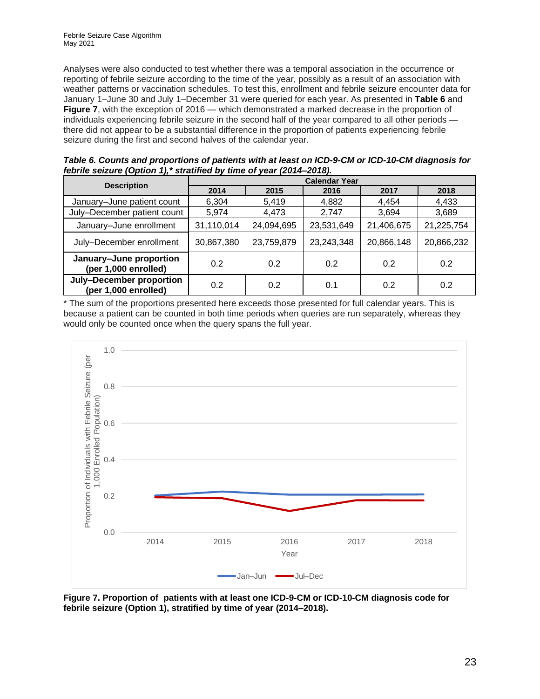Analyses were also conducted to test whether there was a temporal association in the occurrence or reporting of febrile seizure according to the time of the year, possibly as a result of an association with weather patterns or vaccination schedules. To test this, enrollment and febrile seizure encounter data for January 1–June 30 and July 1–December 31 were queried for each year. As presented in **[Table 6](#page-22-0)** and **[Figure](#page-22-1) 7**, with the exception of 2016 — which demonstrated a marked decrease in the proportion of individuals experiencing febrile seizure in the second half of the year compared to all other periods there did not appear to be a substantial difference in the proportion of patients experiencing febrile seizure during the first and second halves of the calendar year.

|                                                  | <b>Calendar Year</b> |            |            |            |            |  |
|--------------------------------------------------|----------------------|------------|------------|------------|------------|--|
| <b>Description</b>                               | 2014                 | 2015       | 2016       | 2017       | 2018       |  |
| January-June patient count                       | 6,304                | 5,419      | 4,882      | 4,454      | 4,433      |  |
| July-December patient count                      | 5,974                | 4,473      | 2,747      | 3,694      | 3,689      |  |
| January-June enrollment                          | 31,110,014           | 24,094,695 | 23,531,649 | 21,406,675 | 21,225,754 |  |
| July-December enrollment                         | 30,867,380           | 23,759,879 | 23,243,348 | 20,866,148 | 20,866,232 |  |
| January-June proportion<br>(per 1,000 enrolled)  | 0.2                  | 0.2        | 0.2        | 0.2        | 0.2        |  |
| July-December proportion<br>(per 1,000 enrolled) | 0.2                  | 0.2        | 0.1        | 0.2        | 0.2        |  |

<span id="page-22-0"></span>*Table 6. Counts and proportions of patients with at least on ICD-9-CM or ICD-10-CM diagnosis for febrile seizure (Option 1),\* stratified by time of year (2014–2018).*

\* The sum of the proportions presented here exceeds those presented for full calendar years. This is because a patient can be counted in both time periods when queries are run separately, whereas they would only be counted once when the query spans the full year.



<span id="page-22-1"></span>**Figure 7. Proportion of patients with at least one ICD-9-CM or ICD-10-CM diagnosis code for febrile seizure (Option 1), stratified by time of year (2014–2018).**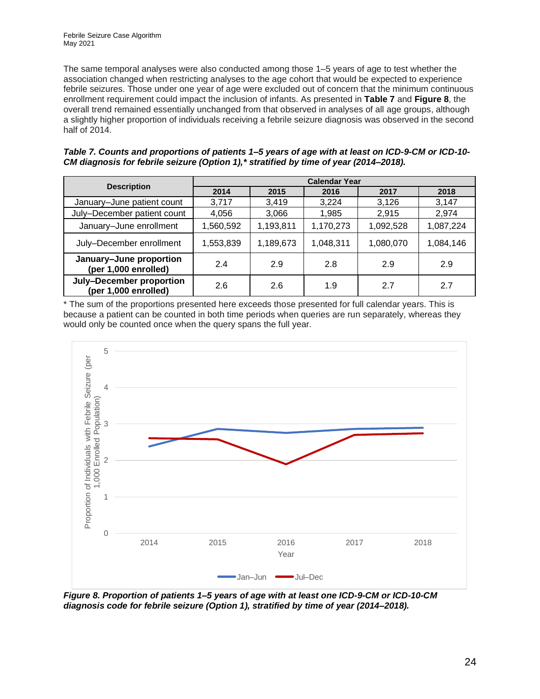The same temporal analyses were also conducted among those 1–5 years of age to test whether the association changed when restricting analyses to the age cohort that would be expected to experience febrile seizures. Those under one year of age were excluded out of concern that the minimum continuous enrollment requirement could impact the inclusion of infants. As presented in **[Table 7](#page-23-0)** and **[Figure 8](#page-23-1)**, the overall trend remained essentially unchanged from that observed in analyses of all age groups, although a slightly higher proportion of individuals receiving a febrile seizure diagnosis was observed in the second half of 2014.

| <b>Description</b>                               | <b>Calendar Year</b> |           |           |           |           |  |  |  |
|--------------------------------------------------|----------------------|-----------|-----------|-----------|-----------|--|--|--|
|                                                  | 2014                 | 2015      | 2016      | 2017      | 2018      |  |  |  |
| January-June patient count                       | 3,717                | 3,419     | 3,224     | 3,126     | 3,147     |  |  |  |
| July-December patient count                      | 4,056                | 3,066     | 1,985     | 2,915     | 2,974     |  |  |  |
| January-June enrollment                          | 1,560,592            | 1,193,811 | 1,170,273 | 1,092,528 | 1,087,224 |  |  |  |
| July-December enrollment                         | 1,553,839            | 1,189,673 | 1,048,311 | 1,080,070 | 1,084,146 |  |  |  |
| January-June proportion<br>(per 1,000 enrolled)  | 2.4                  | 2.9       | 2.8       | 2.9       | 2.9       |  |  |  |
| July-December proportion<br>(per 1,000 enrolled) | 2.6                  | 2.6       | 1.9       | 2.7       | 2.7       |  |  |  |

<span id="page-23-0"></span>

| Table 7. Counts and proportions of patients 1–5 years of age with at least on ICD-9-CM or ICD-10- |  |
|---------------------------------------------------------------------------------------------------|--|
| CM diagnosis for febrile seizure (Option 1),* stratified by time of year (2014–2018).             |  |

\* The sum of the proportions presented here exceeds those presented for full calendar years. This is because a patient can be counted in both time periods when queries are run separately, whereas they would only be counted once when the query spans the full year.



<span id="page-23-1"></span>*Figure 8. Proportion of patients 1–5 years of age with at least one ICD-9-CM or ICD-10-CM diagnosis code for febrile seizure (Option 1), stratified by time of year (2014–2018).*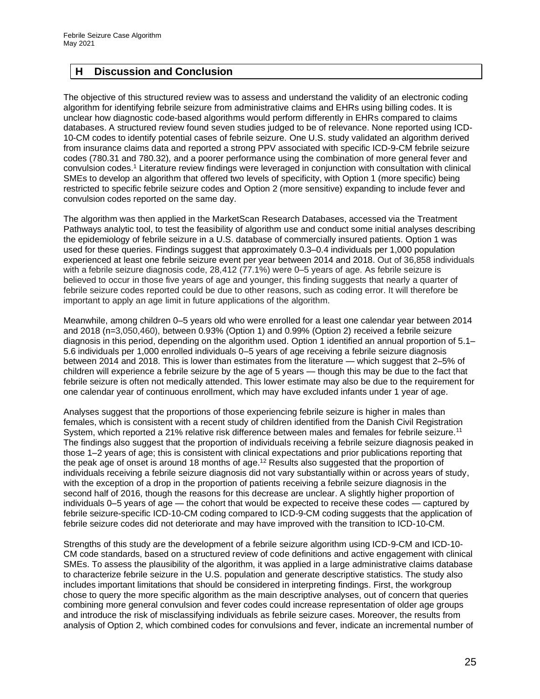#### <span id="page-24-0"></span>**H Discussion and Conclusion**

The objective of this structured review was to assess and understand the validity of an electronic coding algorithm for identifying febrile seizure from administrative claims and EHRs using billing codes. It is unclear how diagnostic code-based algorithms would perform differently in EHRs compared to claims databases. A structured review found seven studies judged to be of relevance. None reported using ICD-10-CM codes to identify potential cases of febrile seizure. One U.S. study validated an algorithm derived from insurance claims data and reported a strong PPV associated with specific ICD-9-CM febrile seizure codes (780.31 and 780.32), and a poorer performance using the combination of more general fever and convulsion codes.<sup>1</sup> Literature review findings were leveraged in conjunction with consultation with clinical SMEs to develop an algorithm that offered two levels of specificity, with Option 1 (more specific) being restricted to specific febrile seizure codes and Option 2 (more sensitive) expanding to include fever and convulsion codes reported on the same day.

The algorithm was then applied in the MarketScan Research Databases, accessed via the Treatment Pathways analytic tool, to test the feasibility of algorithm use and conduct some initial analyses describing the epidemiology of febrile seizure in a U.S. database of commercially insured patients. Option 1 was used for these queries. Findings suggest that approximately 0.3–0.4 individuals per 1,000 population experienced at least one febrile seizure event per year between 2014 and 2018. Out of 36,858 individuals with a febrile seizure diagnosis code, 28,412 (77.1%) were 0–5 years of age. As febrile seizure is believed to occur in those five years of age and younger, this finding suggests that nearly a quarter of febrile seizure codes reported could be due to other reasons, such as coding error. It will therefore be important to apply an age limit in future applications of the algorithm.

Meanwhile, among children 0–5 years old who were enrolled for a least one calendar year between 2014 and 2018 (n=3,050,460), between 0.93% (Option 1) and 0.99% (Option 2) received a febrile seizure diagnosis in this period, depending on the algorithm used. Option 1 identified an annual proportion of 5.1– 5.6 individuals per 1,000 enrolled individuals 0–5 years of age receiving a febrile seizure diagnosis between 2014 and 2018. This is lower than estimates from the literature — which suggest that 2–5% of children will experience a febrile seizure by the age of 5 years — though this may be due to the fact that febrile seizure is often not medically attended. This lower estimate may also be due to the requirement for one calendar year of continuous enrollment, which may have excluded infants under 1 year of age.

Analyses suggest that the proportions of those experiencing febrile seizure is higher in males than females, which is consistent with a recent study of children identified from the Danish Civil Registration System, which reported a 21% relative risk difference between males and females for febrile seizure.<sup>11</sup> The findings also suggest that the proportion of individuals receiving a febrile seizure diagnosis peaked in those 1–2 years of age; this is consistent with clinical expectations and prior publications reporting that the peak age of onset is around 18 months of age.<sup>12</sup> Results also suggested that the proportion of individuals receiving a febrile seizure diagnosis did not vary substantially within or across years of study, with the exception of a drop in the proportion of patients receiving a febrile seizure diagnosis in the second half of 2016, though the reasons for this decrease are unclear. A slightly higher proportion of individuals 0–5 years of age — the cohort that would be expected to receive these codes — captured by febrile seizure-specific ICD-10-CM coding compared to ICD-9-CM coding suggests that the application of febrile seizure codes did not deteriorate and may have improved with the transition to ICD-10-CM.

Strengths of this study are the development of a febrile seizure algorithm using ICD-9-CM and ICD-10- CM code standards, based on a structured review of code definitions and active engagement with clinical SMEs. To assess the plausibility of the algorithm, it was applied in a large administrative claims database to characterize febrile seizure in the U.S. population and generate descriptive statistics. The study also includes important limitations that should be considered in interpreting findings. First, the workgroup chose to query the more specific algorithm as the main descriptive analyses, out of concern that queries combining more general convulsion and fever codes could increase representation of older age groups and introduce the risk of misclassifying individuals as febrile seizure cases. Moreover, the results from analysis of Option 2, which combined codes for convulsions and fever, indicate an incremental number of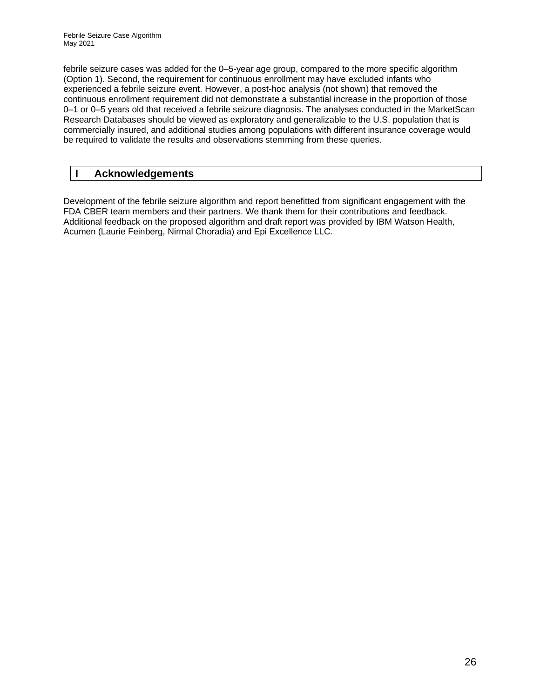febrile seizure cases was added for the 0–5-year age group, compared to the more specific algorithm (Option 1). Second, the requirement for continuous enrollment may have excluded infants who experienced a febrile seizure event. However, a post-hoc analysis (not shown) that removed the continuous enrollment requirement did not demonstrate a substantial increase in the proportion of those 0–1 or 0–5 years old that received a febrile seizure diagnosis. The analyses conducted in the MarketScan Research Databases should be viewed as exploratory and generalizable to the U.S. population that is commercially insured, and additional studies among populations with different insurance coverage would be required to validate the results and observations stemming from these queries.

#### <span id="page-25-0"></span>**I Acknowledgements**

Development of the febrile seizure algorithm and report benefitted from significant engagement with the FDA CBER team members and their partners. We thank them for their contributions and feedback. Additional feedback on the proposed algorithm and draft report was provided by IBM Watson Health, Acumen (Laurie Feinberg, Nirmal Choradia) and Epi Excellence LLC.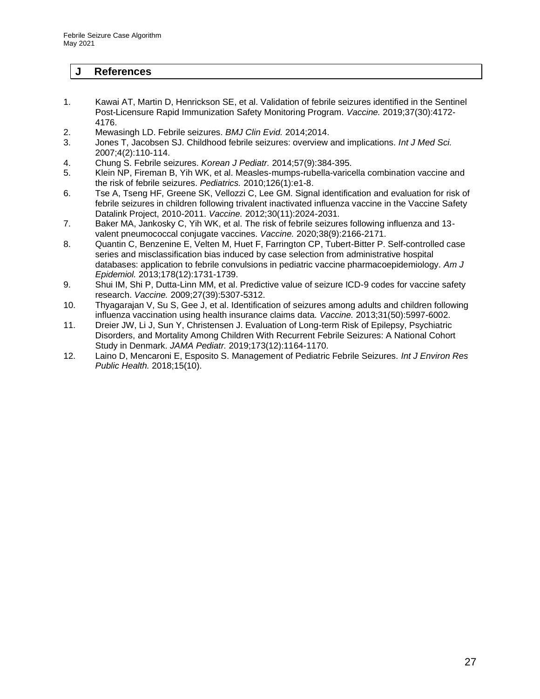#### <span id="page-26-0"></span>**J References**

- 1. Kawai AT, Martin D, Henrickson SE, et al. Validation of febrile seizures identified in the Sentinel Post-Licensure Rapid Immunization Safety Monitoring Program. *Vaccine.* 2019;37(30):4172- 4176.
- 2. Mewasingh LD. Febrile seizures. *BMJ Clin Evid.* 2014;2014.
- 3. Jones T, Jacobsen SJ. Childhood febrile seizures: overview and implications. *Int J Med Sci.*  2007;4(2):110-114.
- 4. Chung S. Febrile seizures. *Korean J Pediatr.* 2014;57(9):384-395.
- 5. Klein NP, Fireman B, Yih WK, et al. Measles-mumps-rubella-varicella combination vaccine and the risk of febrile seizures. *Pediatrics.* 2010;126(1):e1-8.
- 6. Tse A, Tseng HF, Greene SK, Vellozzi C, Lee GM. Signal identification and evaluation for risk of febrile seizures in children following trivalent inactivated influenza vaccine in the Vaccine Safety Datalink Project, 2010-2011. *Vaccine.* 2012;30(11):2024-2031.
- 7. Baker MA, Jankosky C, Yih WK, et al. The risk of febrile seizures following influenza and 13 valent pneumococcal conjugate vaccines. *Vaccine.* 2020;38(9):2166-2171.
- 8. Quantin C, Benzenine E, Velten M, Huet F, Farrington CP, Tubert-Bitter P. Self-controlled case series and misclassification bias induced by case selection from administrative hospital databases: application to febrile convulsions in pediatric vaccine pharmacoepidemiology. *Am J Epidemiol.* 2013;178(12):1731-1739.
- 9. Shui IM, Shi P, Dutta-Linn MM, et al. Predictive value of seizure ICD-9 codes for vaccine safety research. *Vaccine.* 2009;27(39):5307-5312.
- 10. Thyagarajan V, Su S, Gee J, et al. Identification of seizures among adults and children following influenza vaccination using health insurance claims data. *Vaccine.* 2013;31(50):5997-6002.
- 11. Dreier JW, Li J, Sun Y, Christensen J. Evaluation of Long-term Risk of Epilepsy, Psychiatric Disorders, and Mortality Among Children With Recurrent Febrile Seizures: A National Cohort Study in Denmark. *JAMA Pediatr.* 2019;173(12):1164-1170.
- 12. Laino D, Mencaroni E, Esposito S. Management of Pediatric Febrile Seizures. *Int J Environ Res Public Health.* 2018;15(10).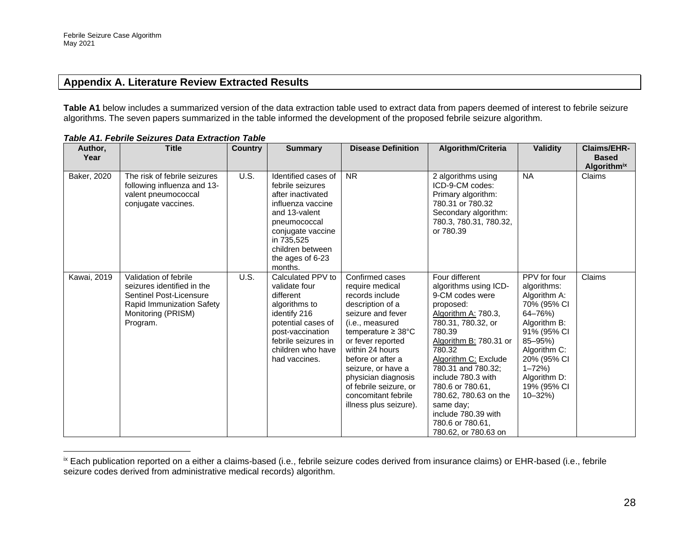#### **Appendix A. Literature Review Extracted Results**

**Table A1** below includes a summarized version of the data extraction table used to extract data from papers deemed of interest to febrile seizure algorithms. The seven papers summarized in the table informed the development of the proposed febrile seizure algorithm.

<span id="page-27-0"></span>

| Author,<br>Year     | <b>Title</b>                                                                                                                                  | <b>Country</b> | <b>Summary</b>                                                                                                                                                                                           | <b>Disease Definition</b>                                                                                                                                                                                                                                                                                                                 | Algorithm/Criteria                                                                                                                                                                                                                                                                                                                                                  | <b>Validity</b>                                                                                                                                                                                            | <b>Claims/EHR-</b><br><b>Based</b> |
|---------------------|-----------------------------------------------------------------------------------------------------------------------------------------------|----------------|----------------------------------------------------------------------------------------------------------------------------------------------------------------------------------------------------------|-------------------------------------------------------------------------------------------------------------------------------------------------------------------------------------------------------------------------------------------------------------------------------------------------------------------------------------------|---------------------------------------------------------------------------------------------------------------------------------------------------------------------------------------------------------------------------------------------------------------------------------------------------------------------------------------------------------------------|------------------------------------------------------------------------------------------------------------------------------------------------------------------------------------------------------------|------------------------------------|
| Baker, 2020         | The risk of febrile seizures<br>following influenza and 13-<br>valent pneumococcal<br>conjugate vaccines.                                     | U.S.           | Identified cases of<br>febrile seizures<br>after inactivated<br>influenza vaccine<br>and 13-valent<br>pneumococcal<br>conjugate vaccine<br>in 735,525<br>children between<br>the ages of 6-23<br>months. | <b>NR</b>                                                                                                                                                                                                                                                                                                                                 | 2 algorithms using<br>ICD-9-CM codes:<br>Primary algorithm:<br>780.31 or 780.32<br>Secondary algorithm:<br>780.3, 780.31, 780.32,<br>or 780.39                                                                                                                                                                                                                      | <b>NA</b>                                                                                                                                                                                                  | <b>Algorithmix</b><br>Claims       |
| <b>Kawai</b> , 2019 | Validation of febrile<br>seizures identified in the<br>Sentinel Post-Licensure<br>Rapid Immunization Safety<br>Monitoring (PRISM)<br>Program. | U.S.           | Calculated PPV to<br>validate four<br>different<br>algorithms to<br>identify 216<br>potential cases of<br>post-vaccination<br>febrile seizures in<br>children who have<br>had vaccines.                  | Confirmed cases<br>require medical<br>records include<br>description of a<br>seizure and fever<br>(i.e., measured<br>temperature $\geq 38^{\circ}$ C<br>or fever reported<br>within 24 hours<br>before or after a<br>seizure, or have a<br>physician diagnosis<br>of febrile seizure, or<br>concomitant febrile<br>illness plus seizure). | Four different<br>algorithms using ICD-<br>9-CM codes were<br>proposed:<br>Algorithm A: 780.3,<br>780.31, 780.32, or<br>780.39<br>Algorithm B: 780.31 or<br>780.32<br>Algorithm C: Exclude<br>780.31 and 780.32:<br>include 780.3 with<br>780.6 or 780.61,<br>780.62, 780.63 on the<br>same day:<br>include 780.39 with<br>780.6 or 780.61,<br>780.62, or 780.63 on | PPV for four<br>algorithms:<br>Algorithm A:<br>70% (95% CI<br>64-76%)<br>Algorithm B:<br>91% (95% CI<br>85-95%)<br>Algorithm C:<br>20% (95% CI<br>$1 - 72%$<br>Algorithm D:<br>19% (95% CI<br>$10 - 32\%)$ | Claims                             |

*Table A1. Febrile Seizures Data Extraction Table*

<sup>&</sup>lt;sup>ix</sup> Each publication reported on a either a claims-based (i.e., febrile seizure codes derived from insurance claims) or EHR-based (i.e., febrile seizure codes derived from administrative medical records) algorithm.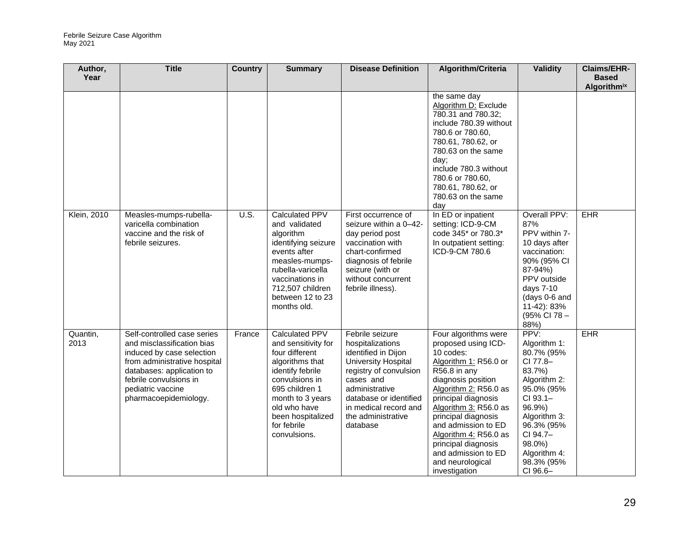| Author,            | <b>Title</b>                 | <b>Country</b> | <b>Summary</b>                      | <b>Disease Definition</b>               | Algorithm/Criteria                           | <b>Validity</b>        | <b>Claims/EHR-</b> |
|--------------------|------------------------------|----------------|-------------------------------------|-----------------------------------------|----------------------------------------------|------------------------|--------------------|
| Year               |                              |                |                                     |                                         |                                              |                        | <b>Based</b>       |
|                    |                              |                |                                     |                                         |                                              |                        | <b>Algorithmix</b> |
|                    |                              |                |                                     |                                         | the same day                                 |                        |                    |
|                    |                              |                |                                     |                                         | Algorithm D: Exclude                         |                        |                    |
|                    |                              |                |                                     |                                         | 780.31 and 780.32;                           |                        |                    |
|                    |                              |                |                                     |                                         | include 780.39 without                       |                        |                    |
|                    |                              |                |                                     |                                         | 780.6 or 780.60,<br>780.61, 780.62, or       |                        |                    |
|                    |                              |                |                                     |                                         | 780.63 on the same                           |                        |                    |
|                    |                              |                |                                     |                                         | day;                                         |                        |                    |
|                    |                              |                |                                     |                                         | include 780.3 without                        |                        |                    |
|                    |                              |                |                                     |                                         | 780.6 or 780.60,                             |                        |                    |
|                    |                              |                |                                     |                                         | 780.61, 780.62, or                           |                        |                    |
|                    |                              |                |                                     |                                         | 780.63 on the same                           |                        |                    |
|                    |                              |                |                                     |                                         | day                                          |                        |                    |
| <b>Klein, 2010</b> | Measles-mumps-rubella-       | U.S.           | <b>Calculated PPV</b>               | First occurrence of                     | In ED or inpatient                           | Overall PPV:           | <b>EHR</b>         |
|                    | varicella combination        |                | and validated                       | seizure within a 0-42-                  | setting: ICD-9-CM                            | 87%                    |                    |
|                    | vaccine and the risk of      |                | algorithm                           | day period post                         | code 345* or 780.3*                          | PPV within 7-          |                    |
|                    | febrile seizures.            |                | identifying seizure                 | vaccination with                        | In outpatient setting:                       | 10 days after          |                    |
|                    |                              |                | events after                        | chart-confirmed                         | ICD-9-CM 780.6                               | vaccination:           |                    |
|                    |                              |                | measles-mumps-                      | diagnosis of febrile                    |                                              | 90% (95% CI            |                    |
|                    |                              |                | rubella-varicella                   | seizure (with or                        |                                              | 87-94%)<br>PPV outside |                    |
|                    |                              |                | vaccinations in<br>712,507 children | without concurrent<br>febrile illness). |                                              | days 7-10              |                    |
|                    |                              |                | between 12 to 23                    |                                         |                                              | (days 0-6 and          |                    |
|                    |                              |                | months old.                         |                                         |                                              | 11-42): 83%            |                    |
|                    |                              |                |                                     |                                         |                                              | (95% CI 78 -           |                    |
|                    |                              |                |                                     |                                         |                                              | 88%)                   |                    |
| Quantin,           | Self-controlled case series  | France         | <b>Calculated PPV</b>               | Febrile seizure                         | Four algorithms were                         | PPV:                   | <b>EHR</b>         |
| 2013               | and misclassification bias   |                | and sensitivity for                 | hospitalizations                        | proposed using ICD-                          | Algorithm 1:           |                    |
|                    | induced by case selection    |                | four different                      | identified in Dijon                     | 10 codes:                                    | 80.7% (95%             |                    |
|                    | from administrative hospital |                | algorithms that                     | University Hospital                     | Algorithm 1: R56.0 or                        | CI 77.8-               |                    |
|                    | databases: application to    |                | identify febrile                    | registry of convulsion                  | R56.8 in any                                 | 83.7%)                 |                    |
|                    | febrile convulsions in       |                | convulsions in                      | cases and                               | diagnosis position                           | Algorithm 2:           |                    |
|                    | pediatric vaccine            |                | 695 children 1                      | administrative                          | Algorithm 2: R56.0 as                        | 95.0% (95%             |                    |
|                    | pharmacoepidemiology.        |                | month to 3 years                    | database or identified                  | principal diagnosis                          | CI 93.1-               |                    |
|                    |                              |                | old who have                        | in medical record and                   | Algorithm 3: R56.0 as                        | 96.9%)                 |                    |
|                    |                              |                | been hospitalized<br>for febrile    | the administrative                      | principal diagnosis                          | Algorithm 3:           |                    |
|                    |                              |                | convulsions.                        | database                                | and admission to ED                          | 96.3% (95%<br>CI 94.7- |                    |
|                    |                              |                |                                     |                                         | Algorithm 4: R56.0 as<br>principal diagnosis | 98.0%)                 |                    |
|                    |                              |                |                                     |                                         | and admission to ED                          | Algorithm 4:           |                    |
|                    |                              |                |                                     |                                         | and neurological                             | 98.3% (95%             |                    |
|                    |                              |                |                                     |                                         | investigation                                | CI 96.6-               |                    |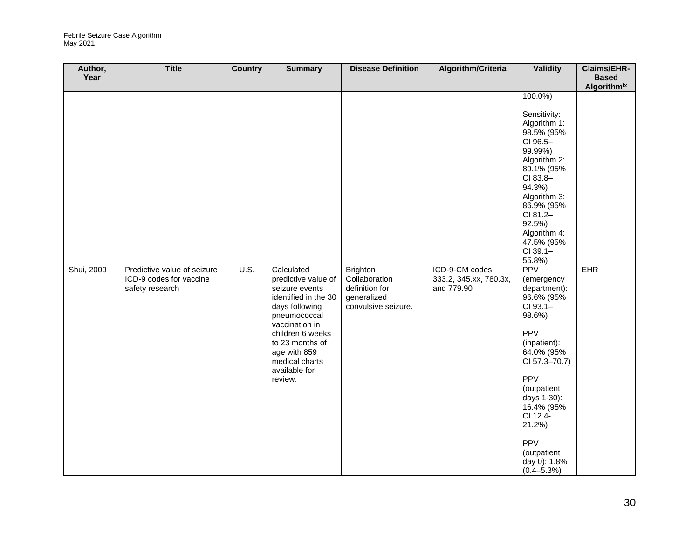| Author,            | <b>Title</b>                                                              | <b>Country</b> | <b>Summary</b>                                                                                                                                                                                                                       | <b>Disease Definition</b>                                                                | Algorithm/Criteria                                     | <b>Validity</b>                                                                                                                                                                                                                                                                                                                                                                                                                                                                                      | Claims/EHR-                                      |
|--------------------|---------------------------------------------------------------------------|----------------|--------------------------------------------------------------------------------------------------------------------------------------------------------------------------------------------------------------------------------------|------------------------------------------------------------------------------------------|--------------------------------------------------------|------------------------------------------------------------------------------------------------------------------------------------------------------------------------------------------------------------------------------------------------------------------------------------------------------------------------------------------------------------------------------------------------------------------------------------------------------------------------------------------------------|--------------------------------------------------|
|                    |                                                                           |                |                                                                                                                                                                                                                                      |                                                                                          |                                                        |                                                                                                                                                                                                                                                                                                                                                                                                                                                                                                      |                                                  |
| Year<br>Shui, 2009 | Predictive value of seizure<br>ICD-9 codes for vaccine<br>safety research | U.S.           | Calculated<br>predictive value of<br>seizure events<br>identified in the 30<br>days following<br>pneumococcal<br>vaccination in<br>children 6 weeks<br>to 23 months of<br>age with 859<br>medical charts<br>available for<br>review. | <b>Brighton</b><br>Collaboration<br>definition for<br>generalized<br>convulsive seizure. | ICD-9-CM codes<br>333.2, 345.xx, 780.3x,<br>and 779.90 | $100.0\%)$<br>Sensitivity:<br>Algorithm 1:<br>98.5% (95%<br>CI 96.5-<br>99.99%)<br>Algorithm 2:<br>89.1% (95%<br>CI 83.8-<br>94.3%)<br>Algorithm 3:<br>86.9% (95%<br>CI 81.2-<br>92.5%)<br>Algorithm 4:<br>47.5% (95%<br>CI 39.1-<br>55.8%)<br><b>PPV</b><br>(emergency<br>department):<br>96.6% (95%<br>CI 93.1-<br>98.6%)<br><b>PPV</b><br>(inpatient):<br>64.0% (95%<br>CI 57.3-70.7)<br><b>PPV</b><br>(outpatient<br>days 1-30):<br>16.4% (95%<br>CI 12.4-<br>21.2%<br><b>PPV</b><br>(outpatient | <b>Based</b><br><b>Algorithmix</b><br><b>EHR</b> |
|                    |                                                                           |                |                                                                                                                                                                                                                                      |                                                                                          |                                                        | day 0): 1.8%<br>$(0.4 - 5.3%)$                                                                                                                                                                                                                                                                                                                                                                                                                                                                       |                                                  |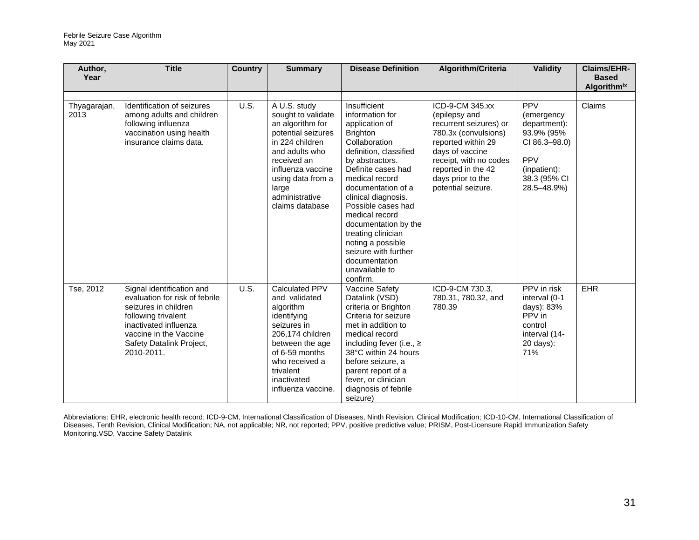| Author,<br>Year      | <b>Title</b>                                                                                                                                                                                            | <b>Country</b> | <b>Summary</b>                                                                                                                                                                                                           | <b>Disease Definition</b>                                                                                                                                                                                                                                                                                                                                                                                 | Algorithm/Criteria                                                                                                                                                                                                     | <b>Validity</b>                                                                                                                      | <b>Claims/EHR-</b><br><b>Based</b> |
|----------------------|---------------------------------------------------------------------------------------------------------------------------------------------------------------------------------------------------------|----------------|--------------------------------------------------------------------------------------------------------------------------------------------------------------------------------------------------------------------------|-----------------------------------------------------------------------------------------------------------------------------------------------------------------------------------------------------------------------------------------------------------------------------------------------------------------------------------------------------------------------------------------------------------|------------------------------------------------------------------------------------------------------------------------------------------------------------------------------------------------------------------------|--------------------------------------------------------------------------------------------------------------------------------------|------------------------------------|
|                      |                                                                                                                                                                                                         |                |                                                                                                                                                                                                                          |                                                                                                                                                                                                                                                                                                                                                                                                           |                                                                                                                                                                                                                        |                                                                                                                                      | <b>Algorithm</b> <sup>ix</sup>     |
|                      |                                                                                                                                                                                                         |                |                                                                                                                                                                                                                          |                                                                                                                                                                                                                                                                                                                                                                                                           |                                                                                                                                                                                                                        |                                                                                                                                      |                                    |
| Thyagarajan,<br>2013 | Identification of seizures<br>among adults and children<br>following influenza<br>vaccination using health<br>insurance claims data.                                                                    | U.S.           | A U.S. study<br>sought to validate<br>an algorithm for<br>potential seizures<br>in 224 children<br>and adults who<br>received an<br>influenza vaccine<br>using data from a<br>large<br>administrative<br>claims database | Insufficient<br>information for<br>application of<br><b>Brighton</b><br>Collaboration<br>definition, classified<br>by abstractors.<br>Definite cases had<br>medical record<br>documentation of a<br>clinical diagnosis.<br>Possible cases had<br>medical record<br>documentation by the<br>treating clinician<br>noting a possible<br>seizure with further<br>documentation<br>unavailable to<br>confirm. | ICD-9-CM 345.xx<br>(epilepsy and<br>recurrent seizures) or<br>780.3x (convulsions)<br>reported within 29<br>days of vaccine<br>receipt, with no codes<br>reported in the 42<br>days prior to the<br>potential seizure. | <b>PPV</b><br>(emergency<br>department):<br>93.9% (95%<br>CI 86.3-98.0)<br><b>PPV</b><br>(inpatient):<br>38.3 (95% CI<br>28.5-48.9%) | Claims                             |
| Tse, 2012            | Signal identification and<br>evaluation for risk of febrile<br>seizures in children<br>following trivalent<br>inactivated influenza<br>vaccine in the Vaccine<br>Safety Datalink Project,<br>2010-2011. | <b>U.S.</b>    | Calculated PPV<br>and validated<br>algorithm<br>identifying<br>seizures in<br>206,174 children<br>between the age<br>of 6-59 months<br>who received a<br>trivalent<br>inactivated<br>influenza vaccine.                  | Vaccine Safety<br>Datalink (VSD)<br>criteria or Brighton<br>Criteria for seizure<br>met in addition to<br>medical record<br>including fever (i.e., $\ge$<br>38°C within 24 hours<br>before seizure, a<br>parent report of a<br>fever, or clinician<br>diagnosis of febrile<br>seizure)                                                                                                                    | ICD-9-CM 730.3,<br>780.31, 780.32, and<br>780.39                                                                                                                                                                       | PPV in risk<br>interval (0-1<br>days): 83%<br>PPV in<br>control<br>interval (14-<br>$20$ days):<br>71%                               | EHR                                |

Abbreviations: EHR, electronic health record; ICD-9-CM, International Classification of Diseases, Ninth Revision, Clinical Modification; ICD-10-CM, International Classification of Diseases, Tenth Revision, Clinical Modification; NA, not applicable; NR, not reported; PPV, positive predictive value; PRISM, Post-Licensure Rapid Immunization Safety Monitoring.VSD, Vaccine Safety Datalink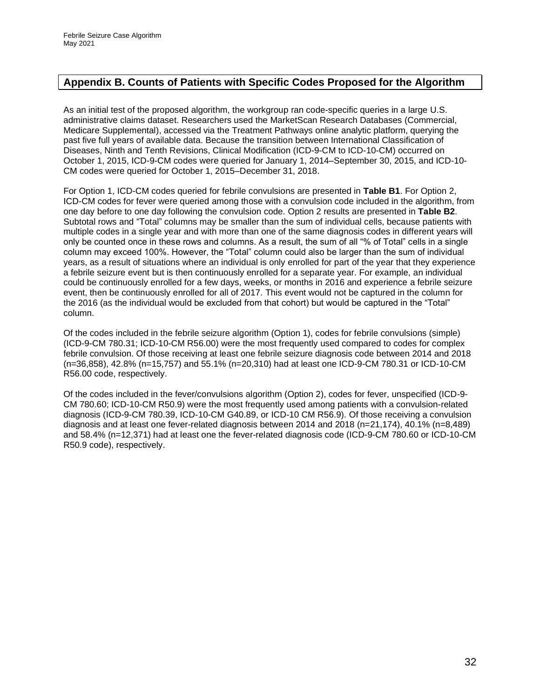#### <span id="page-31-0"></span>**Appendix B. Counts of Patients with Specific Codes Proposed for the Algorithm**

As an initial test of the proposed algorithm, the workgroup ran code-specific queries in a large U.S. administrative claims dataset. Researchers used the MarketScan Research Databases (Commercial, Medicare Supplemental), accessed via the Treatment Pathways online analytic platform, querying the past five full years of available data. Because the transition between International Classification of Diseases, Ninth and Tenth Revisions, Clinical Modification (ICD-9-CM to ICD-10-CM) occurred on October 1, 2015, ICD-9-CM codes were queried for January 1, 2014–September 30, 2015, and ICD-10- CM codes were queried for October 1, 2015–December 31, 2018.

For Option 1, ICD-CM codes queried for febrile convulsions are presented in **Table B1**. For Option 2, ICD-CM codes for fever were queried among those with a convulsion code included in the algorithm, from one day before to one day following the convulsion code. Option 2 results are presented in **Table B2**. Subtotal rows and "Total" columns may be smaller than the sum of individual cells, because patients with multiple codes in a single year and with more than one of the same diagnosis codes in different years will only be counted once in these rows and columns. As a result, the sum of all "% of Total" cells in a single column may exceed 100%. However, the "Total" column could also be larger than the sum of individual years, as a result of situations where an individual is only enrolled for part of the year that they experience a febrile seizure event but is then continuously enrolled for a separate year. For example, an individual could be continuously enrolled for a few days, weeks, or months in 2016 and experience a febrile seizure event, then be continuously enrolled for all of 2017. This event would not be captured in the column for the 2016 (as the individual would be excluded from that cohort) but would be captured in the "Total" column.

Of the codes included in the febrile seizure algorithm (Option 1), codes for febrile convulsions (simple) (ICD-9-CM 780.31; ICD-10-CM R56.00) were the most frequently used compared to codes for complex febrile convulsion. Of those receiving at least one febrile seizure diagnosis code between 2014 and 2018 (n=36,858), 42.8% (n=15,757) and 55.1% (n=20,310) had at least one ICD-9-CM 780.31 or ICD-10-CM R56.00 code, respectively.

Of the codes included in the fever/convulsions algorithm (Option 2), codes for fever, unspecified (ICD-9- CM 780.60; ICD-10-CM R50.9) were the most frequently used among patients with a convulsion-related diagnosis (ICD-9-CM 780.39, ICD-10-CM G40.89, or ICD-10 CM R56.9). Of those receiving a convulsion diagnosis and at least one fever-related diagnosis between 2014 and 2018 (n=21,174), 40.1% (n=8,489) and 58.4% (n=12,371) had at least one the fever-related diagnosis code (ICD-9-CM 780.60 or ICD-10-CM R50.9 code), respectively.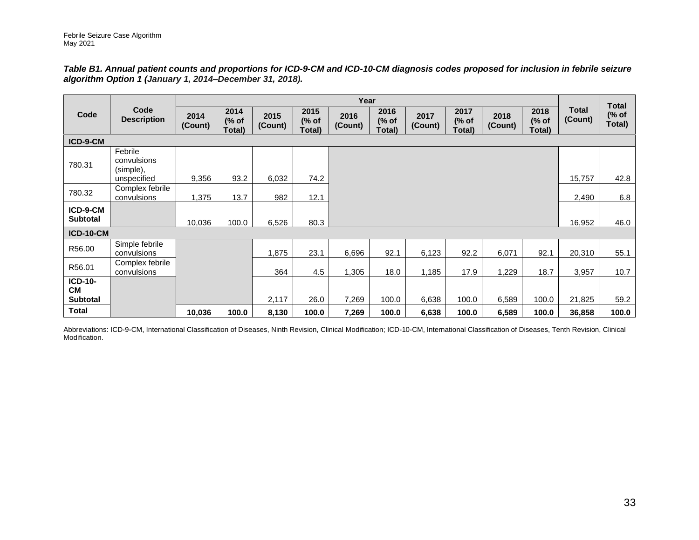*Table B1. Annual patient counts and proportions for ICD-9-CM and ICD-10-CM diagnosis codes proposed for inclusion in febrile seizure algorithm Option 1 (January 1, 2014–December 31, 2018).*

|                                         |                                     |                 |                         |                 |                         | Year            |                         |                 |                         |                 |                         |                         |                                 |
|-----------------------------------------|-------------------------------------|-----------------|-------------------------|-----------------|-------------------------|-----------------|-------------------------|-----------------|-------------------------|-----------------|-------------------------|-------------------------|---------------------------------|
| Code                                    | Code<br><b>Description</b>          | 2014<br>(Count) | 2014<br>(% of<br>Total) | 2015<br>(Count) | 2015<br>(% of<br>Total) | 2016<br>(Count) | 2016<br>(% of<br>Total) | 2017<br>(Count) | 2017<br>(% of<br>Total) | 2018<br>(Count) | 2018<br>(% of<br>Total) | <b>Total</b><br>(Count) | <b>Total</b><br>(% of<br>Total) |
| ICD-9-CM                                |                                     |                 |                         |                 |                         |                 |                         |                 |                         |                 |                         |                         |                                 |
| 780.31                                  | Febrile<br>convulsions<br>(simple), |                 |                         |                 |                         |                 |                         |                 |                         |                 |                         |                         |                                 |
|                                         | unspecified                         | 9,356           | 93.2                    | 6,032           | 74.2                    |                 |                         |                 |                         |                 |                         | 15,757                  | 42.8                            |
| 780.32                                  | Complex febrile<br>convulsions      | 1,375           | 13.7                    | 982             | 12.1                    |                 |                         |                 |                         |                 |                         | 2,490                   | 6.8                             |
| ICD-9-CM<br><b>Subtotal</b>             |                                     | 10,036          | 100.0                   | 6,526           | 80.3                    |                 |                         |                 |                         |                 |                         | 16,952                  | 46.0                            |
| <b>ICD-10-CM</b>                        |                                     |                 |                         |                 |                         |                 |                         |                 |                         |                 |                         |                         |                                 |
| R56.00                                  | Simple febrile<br>convulsions       |                 |                         | 1,875           | 23.1                    | 6,696           | 92.1                    | 6,123           | 92.2                    | 6,071           | 92.1                    | 20,310                  | 55.1                            |
| R56.01                                  | Complex febrile<br>convulsions      |                 |                         | 364             | 4.5                     | 1,305           | 18.0                    | 1,185           | 17.9                    | 1,229           | 18.7                    | 3,957                   | 10.7                            |
| ICD-10-<br><b>CM</b><br><b>Subtotal</b> |                                     |                 |                         | 2,117           | 26.0                    | 7,269           | 100.0                   | 6,638           | 100.0                   | 6,589           | 100.0                   | 21,825                  | 59.2                            |
| <b>Total</b>                            |                                     | 10,036          | 100.0                   | 8,130           | 100.0                   | 7,269           | 100.0                   | 6,638           | 100.0                   | 6,589           | 100.0                   | 36,858                  | 100.0                           |

Abbreviations: ICD-9-CM, International Classification of Diseases, Ninth Revision, Clinical Modification; ICD-10-CM, International Classification of Diseases, Tenth Revision, Clinical Modification.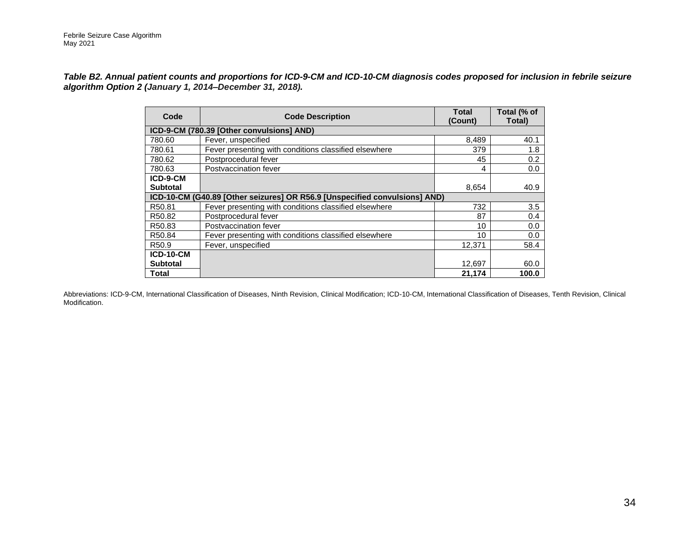*Table B2. Annual patient counts and proportions for ICD-9-CM and ICD-10-CM diagnosis codes proposed for inclusion in febrile seizure algorithm Option 2 (January 1, 2014–December 31, 2018).*

| Code              | <b>Code Description</b>                                                    | <b>Total</b><br>(Count) | Total (% of<br>Total) |
|-------------------|----------------------------------------------------------------------------|-------------------------|-----------------------|
|                   | ICD-9-CM (780.39 [Other convulsions] AND)                                  |                         |                       |
| 780.60            | Fever, unspecified                                                         | 8,489                   | 40.1                  |
| 780.61            | Fever presenting with conditions classified elsewhere                      | 379                     | 1.8                   |
| 780.62            | Postprocedural fever                                                       | 45                      | 0.2                   |
| 780.63            | Postvaccination fever                                                      | 4                       | 0.0                   |
| ICD-9-CM          |                                                                            |                         |                       |
| <b>Subtotal</b>   |                                                                            | 8,654                   | 40.9                  |
|                   | ICD-10-CM (G40.89 [Other seizures] OR R56.9 [Unspecified convulsions] AND) |                         |                       |
| R50.81            | Fever presenting with conditions classified elsewhere                      | 732                     | 3.5                   |
| R50.82            | Postprocedural fever                                                       | 87                      | 0.4                   |
| R50.83            | Postvaccination fever                                                      | 10                      | 0.0                   |
| R50.84            | Fever presenting with conditions classified elsewhere                      | 10                      | 0.0                   |
| R <sub>50.9</sub> | Fever, unspecified                                                         | 12,371                  | 58.4                  |
| <b>ICD-10-CM</b>  |                                                                            |                         |                       |
| <b>Subtotal</b>   |                                                                            | 12,697                  | 60.0                  |
| Total             |                                                                            | 21.174                  | 100.0                 |

Abbreviations: ICD-9-CM, International Classification of Diseases, Ninth Revision, Clinical Modification; ICD-10-CM, International Classification of Diseases, Tenth Revision, Clinical Modification.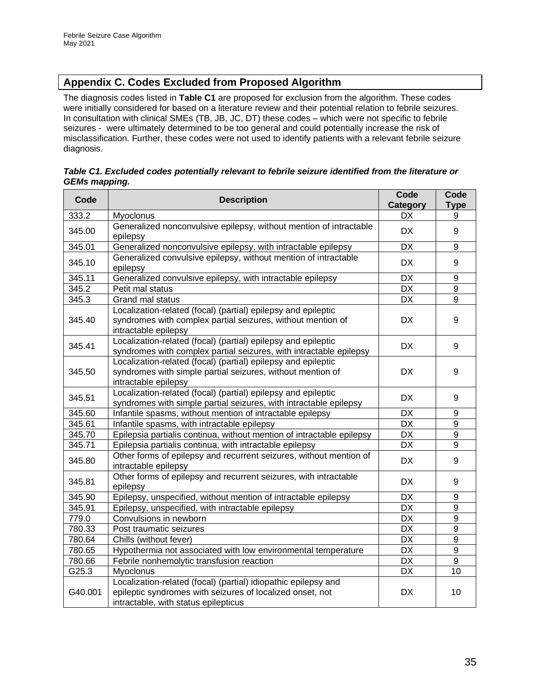### <span id="page-34-0"></span>**Appendix C. Codes Excluded from Proposed Algorithm**

The diagnosis codes listed in **Table C1** are proposed for exclusion from the algorithm. These codes were initially considered for based on a literature review and their potential relation to febrile seizures. In consultation with clinical SMEs (TB, JB, JC, DT) these codes – which were not specific to febrile seizures - were ultimately determined to be too general and could potentially increase the risk of misclassification. Further, these codes were not used to identify patients with a relevant febrile seizure diagnosis.

|                      | Table C1. Excluded codes potentially relevant to febrile seizure identified from the literature or |  |  |
|----------------------|----------------------------------------------------------------------------------------------------|--|--|
| <b>GEMs mapping.</b> |                                                                                                    |  |  |

| Code    | <b>Description</b>                                                                                                                                                  | Code<br>Category | Code<br><b>Type</b> |
|---------|---------------------------------------------------------------------------------------------------------------------------------------------------------------------|------------------|---------------------|
| 333.2   | Myoclonus                                                                                                                                                           | <b>DX</b>        | 9                   |
| 345.00  | Generalized nonconvulsive epilepsy, without mention of intractable<br>epilepsy                                                                                      | DX.              | 9                   |
| 345.01  | Generalized nonconvulsive epilepsy, with intractable epilepsy                                                                                                       | <b>DX</b>        | 9                   |
| 345.10  | Generalized convulsive epilepsy, without mention of intractable<br>epilepsy                                                                                         | <b>DX</b>        | 9                   |
| 345.11  | Generalized convulsive epilepsy, with intractable epilepsy                                                                                                          | <b>DX</b>        | 9                   |
| 345.2   | Petit mal status                                                                                                                                                    | <b>DX</b>        | 9                   |
| 345.3   | Grand mal status                                                                                                                                                    | <b>DX</b>        | 9                   |
| 345.40  | Localization-related (focal) (partial) epilepsy and epileptic<br>syndromes with complex partial seizures, without mention of<br>intractable epilepsy                | DX               | 9                   |
| 345.41  | Localization-related (focal) (partial) epilepsy and epileptic<br>syndromes with complex partial seizures, with intractable epilepsy                                 | <b>DX</b>        | 9                   |
| 345.50  | Localization-related (focal) (partial) epilepsy and epileptic<br>syndromes with simple partial seizures, without mention of<br>intractable epilepsy                 | <b>DX</b>        | 9                   |
| 345.51  | Localization-related (focal) (partial) epilepsy and epileptic<br>syndromes with simple partial seizures, with intractable epilepsy                                  | <b>DX</b>        | 9                   |
| 345.60  | Infantile spasms, without mention of intractable epilepsy                                                                                                           | <b>DX</b>        | 9                   |
| 345.61  | Infantile spasms, with intractable epilepsy                                                                                                                         | <b>DX</b>        | 9                   |
| 345.70  | Epilepsia partialis continua, without mention of intractable epilepsy                                                                                               | <b>DX</b>        | 9                   |
| 345.71  | Epilepsia partialis continua, with intractable epilepsy                                                                                                             | <b>DX</b>        | 9                   |
| 345.80  | Other forms of epilepsy and recurrent seizures, without mention of<br>intractable epilepsy                                                                          | <b>DX</b>        | 9                   |
| 345.81  | Other forms of epilepsy and recurrent seizures, with intractable<br>epilepsy                                                                                        | <b>DX</b>        | 9                   |
| 345.90  | Epilepsy, unspecified, without mention of intractable epilepsy                                                                                                      | <b>DX</b>        | 9                   |
| 345.91  | Epilepsy, unspecified, with intractable epilepsy                                                                                                                    | <b>DX</b>        | $\overline{9}$      |
| 779.0   | Convulsions in newborn                                                                                                                                              | <b>DX</b>        | $\overline{9}$      |
| 780.33  | Post traumatic seizures                                                                                                                                             | <b>DX</b>        | $\overline{9}$      |
| 780.64  | Chills (without fever)                                                                                                                                              | <b>DX</b>        | 9                   |
| 780.65  | Hypothermia not associated with low environmental temperature                                                                                                       | <b>DX</b>        | 9                   |
| 780.66  | Febrile nonhemolytic transfusion reaction                                                                                                                           | <b>DX</b>        | 9                   |
| G25.3   | Myoclonus                                                                                                                                                           | <b>DX</b>        | 10                  |
| G40.001 | Localization-related (focal) (partial) idiopathic epilepsy and<br>epileptic syndromes with seizures of localized onset, not<br>intractable, with status epilepticus | <b>DX</b>        | 10                  |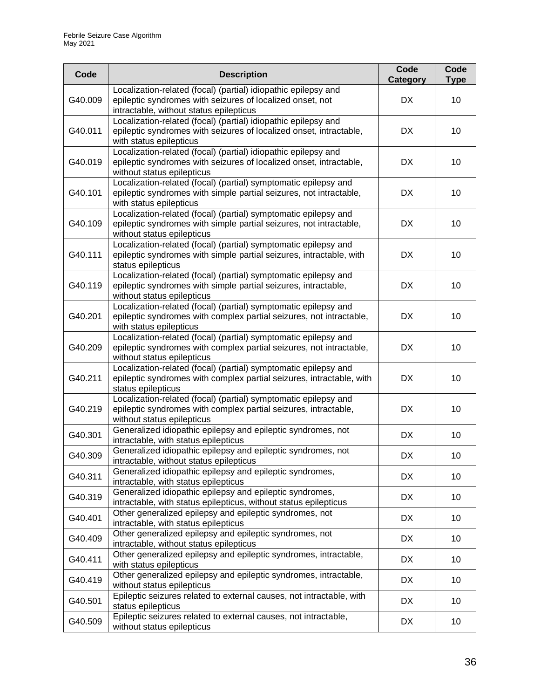| Code    | <b>Description</b>                                                                                                                                                     | Code<br>Category | Code<br><b>Type</b> |
|---------|------------------------------------------------------------------------------------------------------------------------------------------------------------------------|------------------|---------------------|
| G40.009 | Localization-related (focal) (partial) idiopathic epilepsy and<br>epileptic syndromes with seizures of localized onset, not<br>intractable, without status epilepticus | DX               | 10 <sup>1</sup>     |
| G40.011 | Localization-related (focal) (partial) idiopathic epilepsy and<br>epileptic syndromes with seizures of localized onset, intractable,<br>with status epilepticus        | <b>DX</b>        | 10                  |
| G40.019 | Localization-related (focal) (partial) idiopathic epilepsy and<br>epileptic syndromes with seizures of localized onset, intractable,<br>without status epilepticus     | <b>DX</b>        | 10                  |
| G40.101 | Localization-related (focal) (partial) symptomatic epilepsy and<br>epileptic syndromes with simple partial seizures, not intractable,<br>with status epilepticus       | <b>DX</b>        | 10                  |
| G40.109 | Localization-related (focal) (partial) symptomatic epilepsy and<br>epileptic syndromes with simple partial seizures, not intractable,<br>without status epilepticus    | <b>DX</b>        | 10                  |
| G40.111 | Localization-related (focal) (partial) symptomatic epilepsy and<br>epileptic syndromes with simple partial seizures, intractable, with<br>status epilepticus           | <b>DX</b>        | 10                  |
| G40.119 | Localization-related (focal) (partial) symptomatic epilepsy and<br>epileptic syndromes with simple partial seizures, intractable,<br>without status epilepticus        | <b>DX</b>        | 10 <sup>1</sup>     |
| G40.201 | Localization-related (focal) (partial) symptomatic epilepsy and<br>epileptic syndromes with complex partial seizures, not intractable,<br>with status epilepticus      | <b>DX</b>        | 10                  |
| G40.209 | Localization-related (focal) (partial) symptomatic epilepsy and<br>epileptic syndromes with complex partial seizures, not intractable,<br>without status epilepticus   | <b>DX</b>        | 10 <sup>1</sup>     |
| G40.211 | Localization-related (focal) (partial) symptomatic epilepsy and<br>epileptic syndromes with complex partial seizures, intractable, with<br>status epilepticus          | <b>DX</b>        | 10                  |
| G40.219 | Localization-related (focal) (partial) symptomatic epilepsy and<br>epileptic syndromes with complex partial seizures, intractable,<br>without status epilepticus       | <b>DX</b>        | 10 <sup>1</sup>     |
| G40.301 | Generalized idiopathic epilepsy and epileptic syndromes, not<br>intractable, with status epilepticus                                                                   | <b>DX</b>        | 10                  |
| G40.309 | Generalized idiopathic epilepsy and epileptic syndromes, not<br>intractable, without status epilepticus                                                                | DX               | 10                  |
| G40.311 | Generalized idiopathic epilepsy and epileptic syndromes,<br>intractable, with status epilepticus                                                                       | <b>DX</b>        | 10                  |
| G40.319 | Generalized idiopathic epilepsy and epileptic syndromes,<br>intractable, with status epilepticus, without status epilepticus                                           | <b>DX</b>        | 10 <sup>1</sup>     |
| G40.401 | Other generalized epilepsy and epileptic syndromes, not<br>intractable, with status epilepticus                                                                        | <b>DX</b>        | 10 <sup>1</sup>     |
| G40.409 | Other generalized epilepsy and epileptic syndromes, not<br>intractable, without status epilepticus                                                                     | <b>DX</b>        | 10 <sup>1</sup>     |
| G40.411 | Other generalized epilepsy and epileptic syndromes, intractable,<br>with status epilepticus                                                                            | DX.              | 10 <sup>1</sup>     |
| G40.419 | Other generalized epilepsy and epileptic syndromes, intractable,<br>without status epilepticus                                                                         | <b>DX</b>        | 10 <sup>1</sup>     |
| G40.501 | Epileptic seizures related to external causes, not intractable, with<br>status epilepticus                                                                             | <b>DX</b>        | 10 <sup>1</sup>     |
| G40.509 | Epileptic seizures related to external causes, not intractable,<br>without status epilepticus                                                                          | DX.              | 10 <sup>1</sup>     |